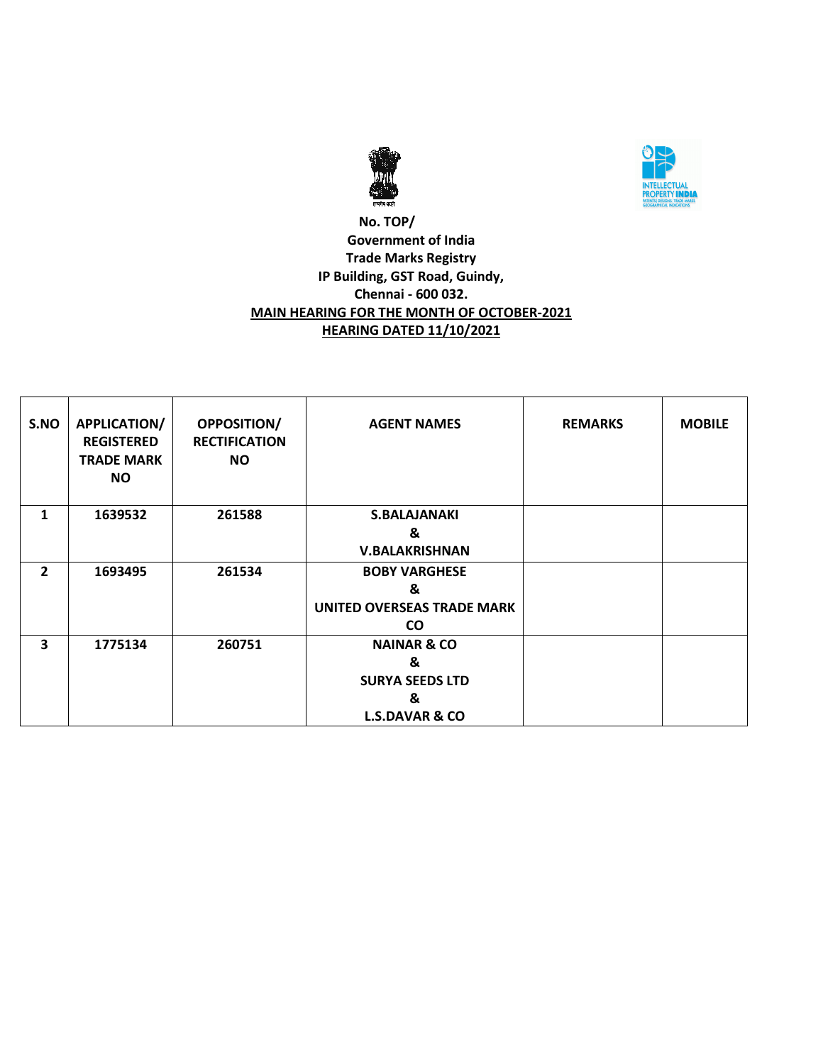



### **No. TOP/ Government of India Trade Marks Registry IP Building, GST Road, Guindy, Chennai - 600 032. MAIN HEARING FOR THE MONTH OF OCTOBER-2021 HEARING DATED 11/10/2021**

| S.NO                    | <b>APPLICATION/</b><br><b>REGISTERED</b><br><b>TRADE MARK</b><br>NO. | <b>OPPOSITION/</b><br><b>RECTIFICATION</b><br><b>NO</b> | <b>AGENT NAMES</b>                | <b>REMARKS</b> | <b>MOBILE</b> |
|-------------------------|----------------------------------------------------------------------|---------------------------------------------------------|-----------------------------------|----------------|---------------|
| 1                       | 1639532                                                              | 261588                                                  | <b>S.BALAJANAKI</b>               |                |               |
|                         |                                                                      |                                                         | &                                 |                |               |
|                         |                                                                      |                                                         | <b>V.BALAKRISHNAN</b>             |                |               |
| $\overline{2}$          | 1693495                                                              | 261534                                                  | <b>BOBY VARGHESE</b>              |                |               |
|                         |                                                                      |                                                         | &                                 |                |               |
|                         |                                                                      |                                                         | <b>UNITED OVERSEAS TRADE MARK</b> |                |               |
|                         |                                                                      |                                                         | <b>CO</b>                         |                |               |
| $\overline{\mathbf{3}}$ | 1775134                                                              | 260751                                                  | <b>NAINAR &amp; CO</b>            |                |               |
|                         |                                                                      |                                                         | &                                 |                |               |
|                         |                                                                      |                                                         | <b>SURYA SEEDS LTD</b>            |                |               |
|                         |                                                                      |                                                         | &                                 |                |               |
|                         |                                                                      |                                                         | <b>L.S.DAVAR &amp; CO</b>         |                |               |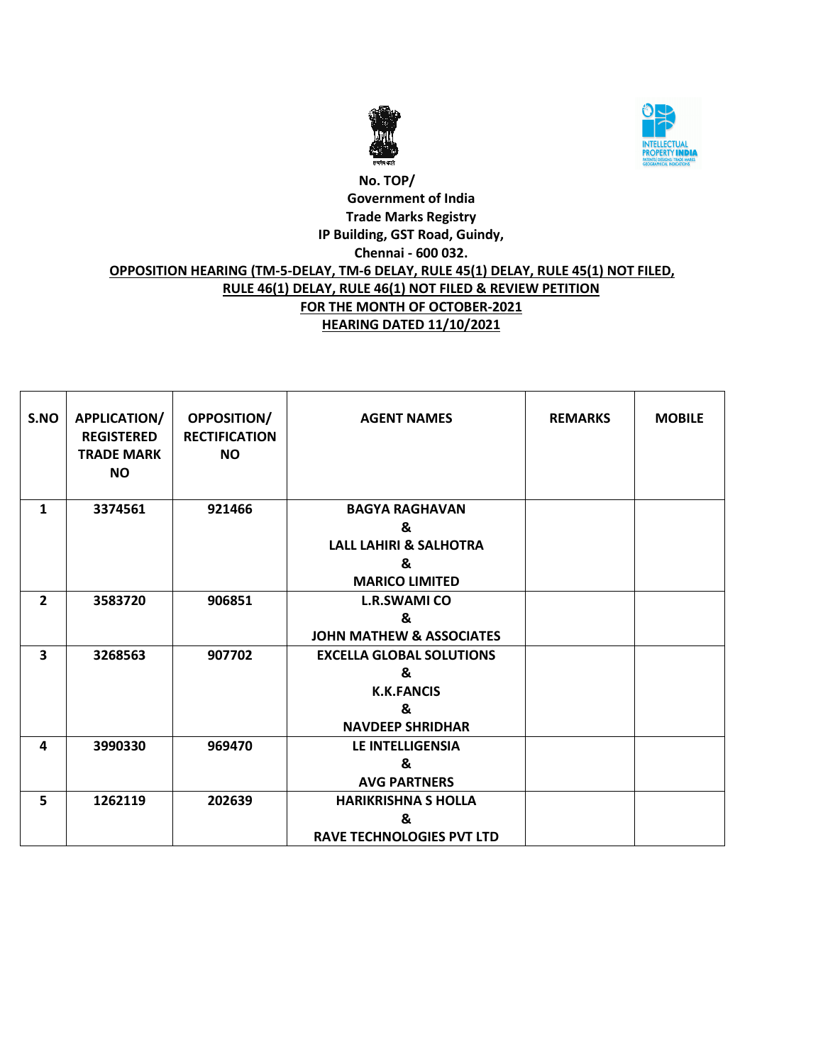



# **No. TOP/ Government of India Trade Marks Registry IP Building, GST Road, Guindy, Chennai - 600 032. OPPOSITION HEARING (TM-5-DELAY, TM-6 DELAY, RULE 45(1) DELAY, RULE 45(1) NOT FILED, RULE 46(1) DELAY, RULE 46(1) NOT FILED & REVIEW PETITION FOR THE MONTH OF OCTOBER-2021 HEARING DATED 11/10/2021**

| S.NO           | APPLICATION/<br><b>REGISTERED</b><br><b>TRADE MARK</b><br><b>NO</b> | <b>OPPOSITION/</b><br><b>RECTIFICATION</b><br><b>NO</b> | <b>AGENT NAMES</b>                  | <b>REMARKS</b> | <b>MOBILE</b> |
|----------------|---------------------------------------------------------------------|---------------------------------------------------------|-------------------------------------|----------------|---------------|
| $\mathbf{1}$   | 3374561                                                             | 921466                                                  | <b>BAGYA RAGHAVAN</b>               |                |               |
|                |                                                                     |                                                         | &                                   |                |               |
|                |                                                                     |                                                         | <b>LALL LAHIRI &amp; SALHOTRA</b>   |                |               |
|                |                                                                     |                                                         | &                                   |                |               |
|                |                                                                     |                                                         | <b>MARICO LIMITED</b>               |                |               |
| $\overline{2}$ | 3583720                                                             | 906851                                                  | <b>L.R.SWAMI CO</b>                 |                |               |
|                |                                                                     |                                                         | &                                   |                |               |
|                |                                                                     |                                                         | <b>JOHN MATHEW &amp; ASSOCIATES</b> |                |               |
| 3              | 3268563                                                             | 907702                                                  | <b>EXCELLA GLOBAL SOLUTIONS</b>     |                |               |
|                |                                                                     |                                                         | &                                   |                |               |
|                |                                                                     |                                                         | <b>K.K.FANCIS</b>                   |                |               |
|                |                                                                     |                                                         | &                                   |                |               |
|                |                                                                     |                                                         | <b>NAVDEEP SHRIDHAR</b>             |                |               |
| 4              | 3990330                                                             | 969470                                                  | LE INTELLIGENSIA                    |                |               |
|                |                                                                     |                                                         | &                                   |                |               |
|                |                                                                     |                                                         | <b>AVG PARTNERS</b>                 |                |               |
| 5              | 1262119                                                             | 202639                                                  | <b>HARIKRISHNA S HOLLA</b>          |                |               |
|                |                                                                     |                                                         | &                                   |                |               |
|                |                                                                     |                                                         | <b>RAVE TECHNOLOGIES PVT LTD</b>    |                |               |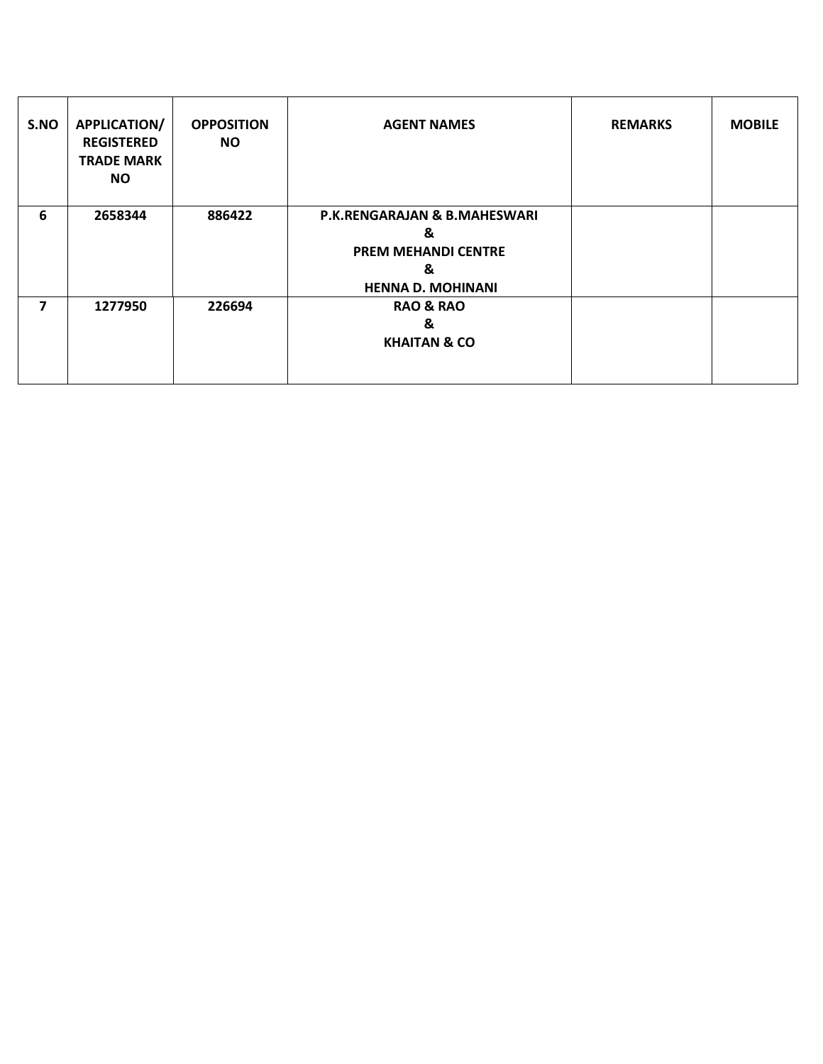| S.NO | <b>APPLICATION/</b><br><b>REGISTERED</b><br><b>TRADE MARK</b><br><b>NO</b> | <b>OPPOSITION</b><br>NO. | <b>AGENT NAMES</b>                                                                                          | <b>REMARKS</b> | <b>MOBILE</b> |
|------|----------------------------------------------------------------------------|--------------------------|-------------------------------------------------------------------------------------------------------------|----------------|---------------|
| 6    | 2658344                                                                    | 886422                   | <b>P.K.RENGARAJAN &amp; B.MAHESWARI</b><br>&<br><b>PREM MEHANDI CENTRE</b><br>&<br><b>HENNA D. MOHINANI</b> |                |               |
| 7    | 1277950                                                                    | 226694                   | <b>RAO &amp; RAO</b><br>&<br><b>KHAITAN &amp; CO</b>                                                        |                |               |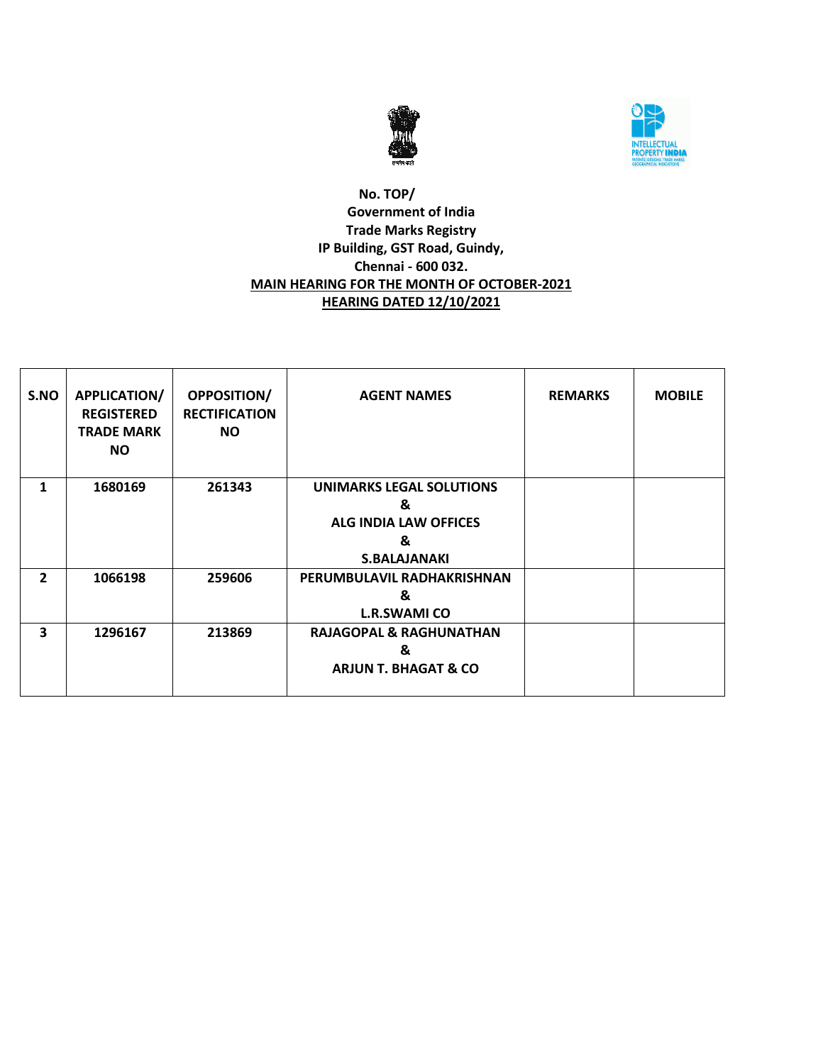



#### **No. TOP/ Government of India Trade Marks Registry IP Building, GST Road, Guindy, Chennai - 600 032. MAIN HEARING FOR THE MONTH OF OCTOBER-2021 HEARING DATED 12/10/2021**

| S.NO           | <b>APPLICATION/</b><br><b>REGISTERED</b><br><b>TRADE MARK</b><br><b>NO</b> | <b>OPPOSITION/</b><br><b>RECTIFICATION</b><br><b>NO</b> | <b>AGENT NAMES</b>                                                                               | <b>REMARKS</b> | <b>MOBILE</b> |
|----------------|----------------------------------------------------------------------------|---------------------------------------------------------|--------------------------------------------------------------------------------------------------|----------------|---------------|
| 1              | 1680169                                                                    | 261343                                                  | <b>UNIMARKS LEGAL SOLUTIONS</b><br>&<br><b>ALG INDIA LAW OFFICES</b><br>&<br><b>S.BALAJANAKI</b> |                |               |
| $\overline{2}$ | 1066198                                                                    | 259606                                                  | PERUMBULAVIL RADHAKRISHNAN<br>&<br><b>L.R.SWAMI CO</b>                                           |                |               |
| 3              | 1296167                                                                    | 213869                                                  | <b>RAJAGOPAL &amp; RAGHUNATHAN</b><br>&<br><b>ARJUN T. BHAGAT &amp; CO</b>                       |                |               |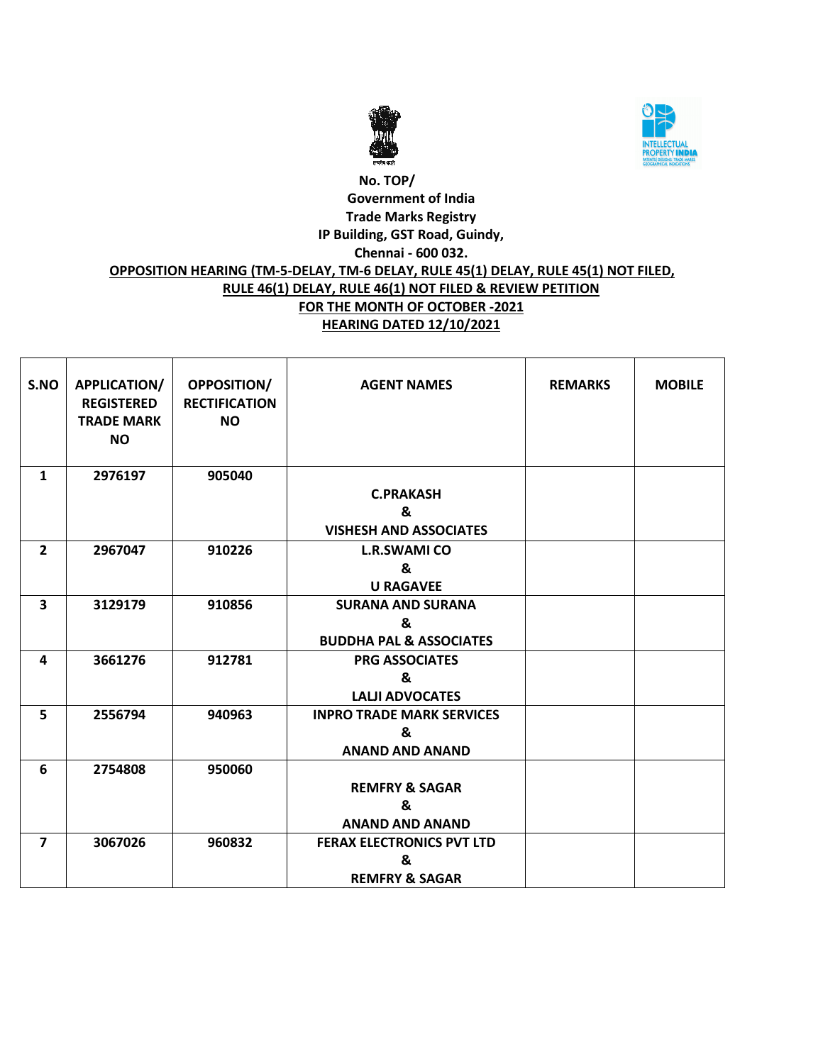



# **No. TOP/ Government of India Trade Marks Registry IP Building, GST Road, Guindy, Chennai - 600 032. OPPOSITION HEARING (TM-5-DELAY, TM-6 DELAY, RULE 45(1) DELAY, RULE 45(1) NOT FILED, RULE 46(1) DELAY, RULE 46(1) NOT FILED & REVIEW PETITION FOR THE MONTH OF OCTOBER -2021 HEARING DATED 12/10/2021**

| S.NO                    | <b>APPLICATION/</b><br><b>REGISTERED</b><br><b>TRADE MARK</b><br><b>NO</b> | <b>OPPOSITION/</b><br><b>RECTIFICATION</b><br><b>NO</b> | <b>AGENT NAMES</b>                 | <b>REMARKS</b> | <b>MOBILE</b> |
|-------------------------|----------------------------------------------------------------------------|---------------------------------------------------------|------------------------------------|----------------|---------------|
| $\mathbf{1}$            | 2976197                                                                    | 905040                                                  |                                    |                |               |
|                         |                                                                            |                                                         | <b>C.PRAKASH</b>                   |                |               |
|                         |                                                                            |                                                         | &                                  |                |               |
|                         |                                                                            |                                                         | <b>VISHESH AND ASSOCIATES</b>      |                |               |
| $\overline{2}$          | 2967047                                                                    | 910226                                                  | <b>L.R.SWAMI CO</b>                |                |               |
|                         |                                                                            |                                                         | &                                  |                |               |
|                         |                                                                            |                                                         | <b>U RAGAVEE</b>                   |                |               |
| $\overline{\mathbf{3}}$ | 3129179                                                                    | 910856                                                  | <b>SURANA AND SURANA</b>           |                |               |
|                         |                                                                            |                                                         | ጼ                                  |                |               |
|                         |                                                                            |                                                         | <b>BUDDHA PAL &amp; ASSOCIATES</b> |                |               |
| 4                       | 3661276                                                                    | 912781                                                  | <b>PRG ASSOCIATES</b>              |                |               |
|                         |                                                                            |                                                         | &                                  |                |               |
|                         |                                                                            |                                                         | <b>LALJI ADVOCATES</b>             |                |               |
| 5                       | 2556794                                                                    | 940963                                                  | <b>INPRO TRADE MARK SERVICES</b>   |                |               |
|                         |                                                                            |                                                         | &                                  |                |               |
|                         |                                                                            |                                                         | <b>ANAND AND ANAND</b>             |                |               |
| 6                       | 2754808                                                                    | 950060                                                  |                                    |                |               |
|                         |                                                                            |                                                         | <b>REMFRY &amp; SAGAR</b>          |                |               |
|                         |                                                                            |                                                         | &                                  |                |               |
|                         |                                                                            |                                                         | <b>ANAND AND ANAND</b>             |                |               |
| $\overline{7}$          | 3067026                                                                    | 960832                                                  | <b>FERAX ELECTRONICS PVT LTD</b>   |                |               |
|                         |                                                                            |                                                         | &                                  |                |               |
|                         |                                                                            |                                                         | <b>REMFRY &amp; SAGAR</b>          |                |               |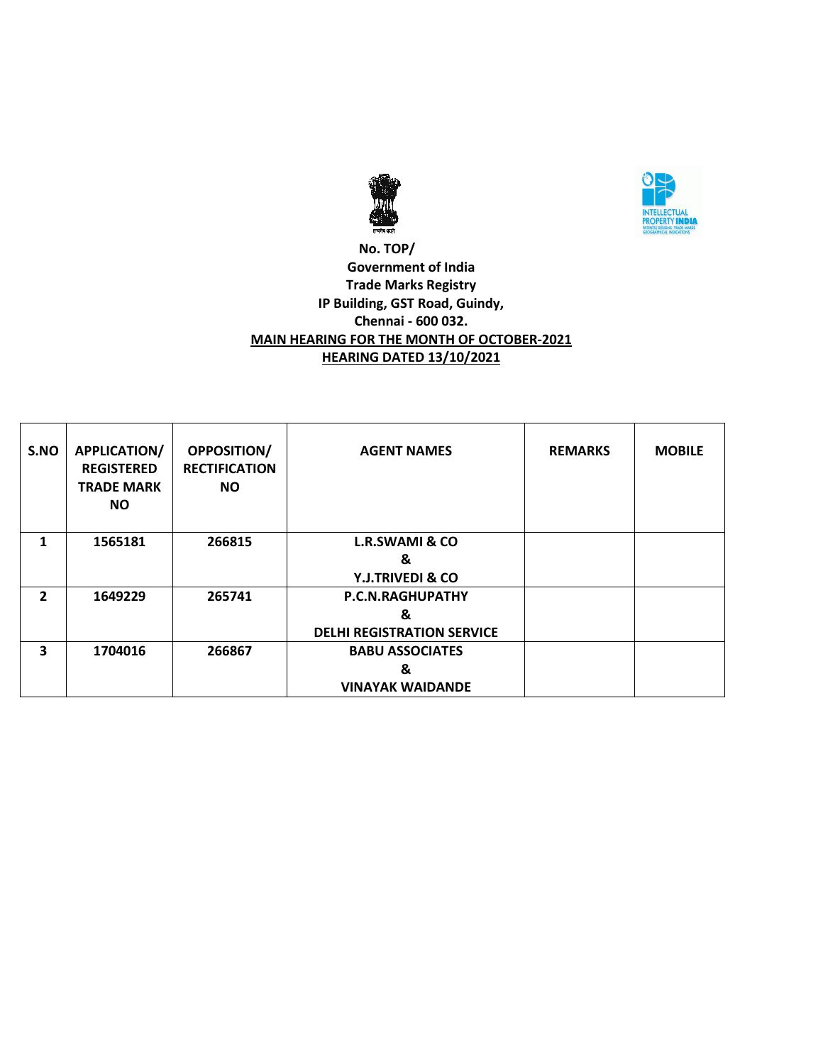



#### **No. TOP/ Government of India Trade Marks Registry IP Building, GST Road, Guindy, Chennai - 600 032. MAIN HEARING FOR THE MONTH OF OCTOBER-2021 HEARING DATED 13/10/2021**

| S.NO | <b>APPLICATION/</b><br><b>REGISTERED</b><br><b>TRADE MARK</b><br><b>NO</b> | <b>OPPOSITION/</b><br><b>RECTIFICATION</b><br><b>NO</b> | <b>AGENT NAMES</b>                | <b>REMARKS</b> | <b>MOBILE</b> |
|------|----------------------------------------------------------------------------|---------------------------------------------------------|-----------------------------------|----------------|---------------|
| 1    | 1565181                                                                    | 266815                                                  | <b>L.R.SWAMI &amp; CO</b>         |                |               |
|      |                                                                            |                                                         | &                                 |                |               |
|      |                                                                            |                                                         | <b>Y.J.TRIVEDI &amp; CO</b>       |                |               |
| 2    | 1649229                                                                    | 265741                                                  | P.C.N.RAGHUPATHY                  |                |               |
|      |                                                                            |                                                         | &                                 |                |               |
|      |                                                                            |                                                         | <b>DELHI REGISTRATION SERVICE</b> |                |               |
| 3    | 1704016                                                                    | 266867                                                  | <b>BABU ASSOCIATES</b>            |                |               |
|      |                                                                            |                                                         | &                                 |                |               |
|      |                                                                            |                                                         | <b>VINAYAK WAIDANDE</b>           |                |               |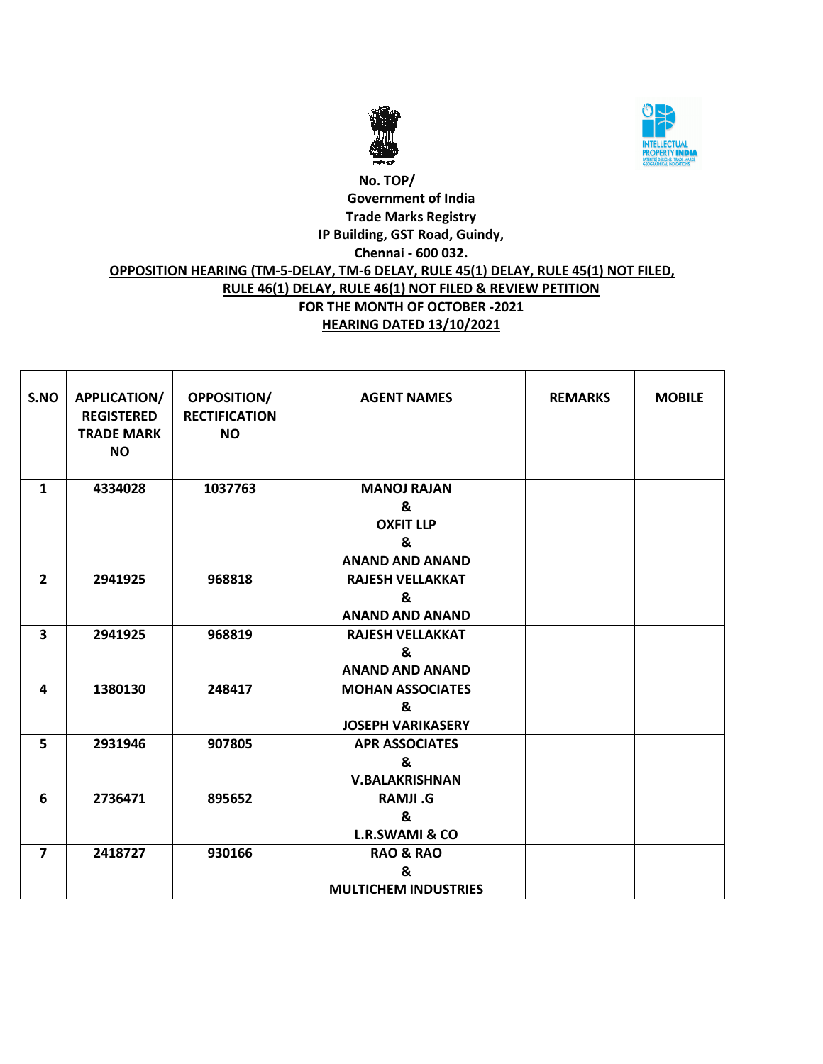



# **No. TOP/ Government of India Trade Marks Registry IP Building, GST Road, Guindy, Chennai - 600 032. OPPOSITION HEARING (TM-5-DELAY, TM-6 DELAY, RULE 45(1) DELAY, RULE 45(1) NOT FILED, RULE 46(1) DELAY, RULE 46(1) NOT FILED & REVIEW PETITION FOR THE MONTH OF OCTOBER -2021 HEARING DATED 13/10/2021**

| S.NO                    | APPLICATION/<br><b>REGISTERED</b><br><b>TRADE MARK</b><br><b>NO</b> | <b>OPPOSITION/</b><br><b>RECTIFICATION</b><br><b>NO</b> | <b>AGENT NAMES</b>                                                         | <b>REMARKS</b> | <b>MOBILE</b> |
|-------------------------|---------------------------------------------------------------------|---------------------------------------------------------|----------------------------------------------------------------------------|----------------|---------------|
| $\mathbf{1}$            | 4334028                                                             | 1037763                                                 | <b>MANOJ RAJAN</b><br>&<br><b>OXFIT LLP</b><br>&<br><b>ANAND AND ANAND</b> |                |               |
| $\overline{2}$          | 2941925                                                             | 968818                                                  | <b>RAJESH VELLAKKAT</b><br>&<br><b>ANAND AND ANAND</b>                     |                |               |
| $\overline{\mathbf{3}}$ | 2941925                                                             | 968819                                                  | <b>RAJESH VELLAKKAT</b><br>&<br><b>ANAND AND ANAND</b>                     |                |               |
| 4                       | 1380130                                                             | 248417                                                  | <b>MOHAN ASSOCIATES</b><br>&<br><b>JOSEPH VARIKASERY</b>                   |                |               |
| 5                       | 2931946                                                             | 907805                                                  | <b>APR ASSOCIATES</b><br>&<br><b>V.BALAKRISHNAN</b>                        |                |               |
| 6                       | 2736471                                                             | 895652                                                  | <b>RAMJI.G</b><br>&<br><b>L.R.SWAMI &amp; CO</b>                           |                |               |
| $\overline{\mathbf{z}}$ | 2418727                                                             | 930166                                                  | <b>RAO &amp; RAO</b><br>&<br><b>MULTICHEM INDUSTRIES</b>                   |                |               |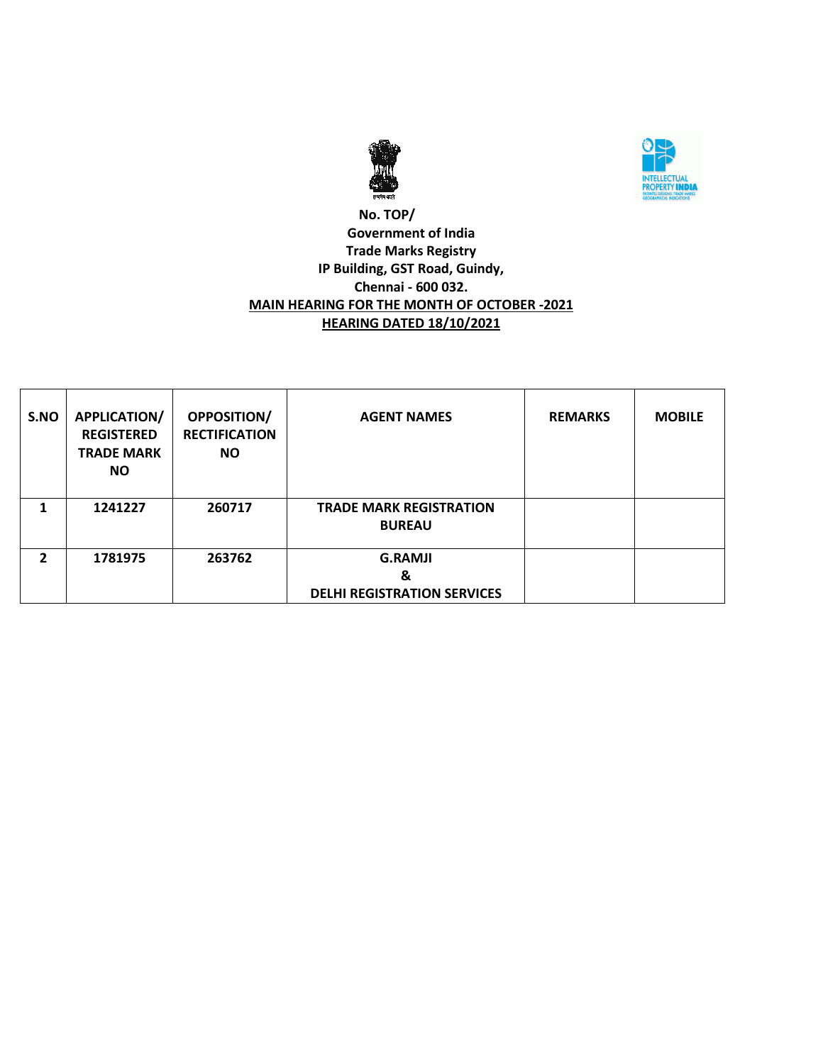



### **No. TOP/ Government of India Trade Marks Registry IP Building, GST Road, Guindy, Chennai - 600 032. MAIN HEARING FOR THE MONTH OF OCTOBER -2021 HEARING DATED 18/10/2021**

| S.NO | <b>APPLICATION/</b><br><b>REGISTERED</b><br><b>TRADE MARK</b><br><b>NO</b> | <b>OPPOSITION/</b><br><b>RECTIFICATION</b><br><b>NO</b> | <b>AGENT NAMES</b>                                        | <b>REMARKS</b> | <b>MOBILE</b> |
|------|----------------------------------------------------------------------------|---------------------------------------------------------|-----------------------------------------------------------|----------------|---------------|
|      | 1241227                                                                    | 260717                                                  | <b>TRADE MARK REGISTRATION</b><br><b>BUREAU</b>           |                |               |
| 2    | 1781975                                                                    | 263762                                                  | <b>G.RAMJI</b><br>&<br><b>DELHI REGISTRATION SERVICES</b> |                |               |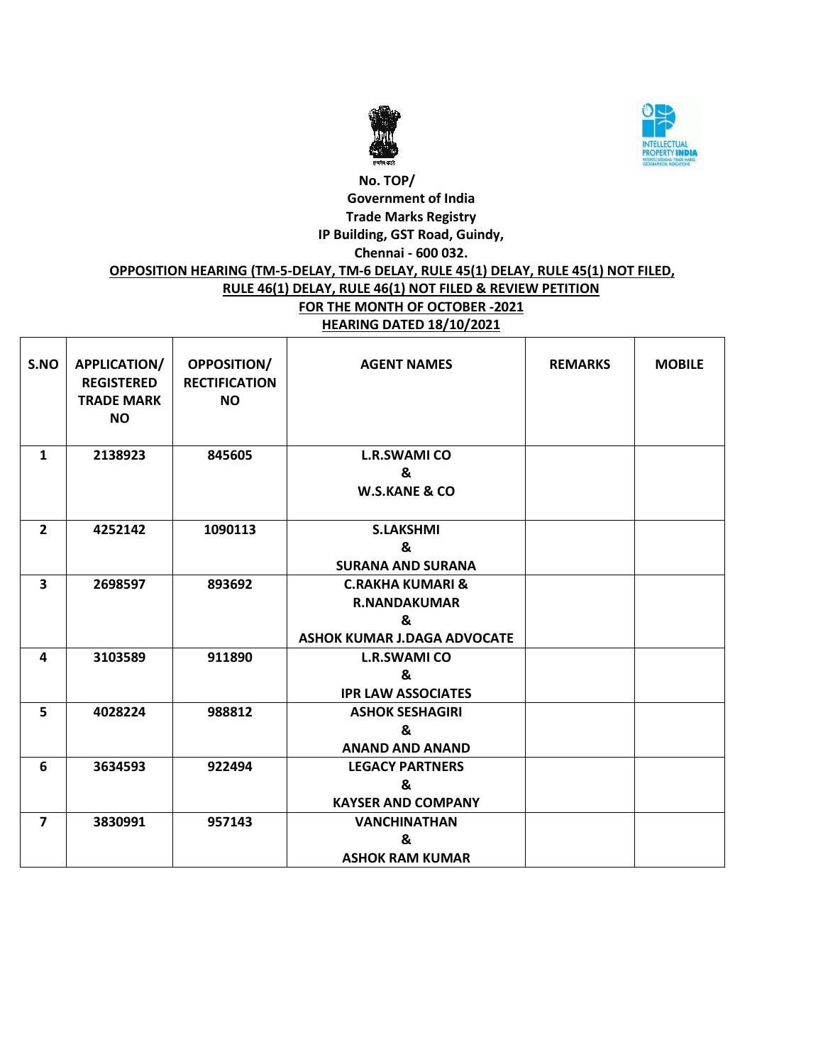



#### **No. TOP/ Government of India Trade Marks Registry IP Building, GST Road, Guindy, Chennai - 600 032. OPPOSITION HEARING (TM-5-DELAY, TM-6 DELAY, RULE 45(1) DELAY, RULE 45(1) NOT FILED, RULE 46(1) DELAY, RULE 46(1) NOT FILED & REVIEW PETITION FOR THE MONTH OF OCTOBER -2021 HEARING DATED 18/10/2021**

| S.NO                    | APPLICATION/<br><b>REGISTERED</b><br><b>TRADE MARK</b><br><b>NO</b> | <b>OPPOSITION/</b><br><b>RECTIFICATION</b><br><b>NO</b> | <b>AGENT NAMES</b>                                                                            | <b>REMARKS</b> | <b>MOBILE</b> |
|-------------------------|---------------------------------------------------------------------|---------------------------------------------------------|-----------------------------------------------------------------------------------------------|----------------|---------------|
| $\mathbf{1}$            | 2138923                                                             | 845605                                                  | <b>L.R.SWAMI CO</b><br>&<br><b>W.S.KANE &amp; CO</b>                                          |                |               |
| $\overline{2}$          | 4252142                                                             | 1090113                                                 | <b>S.LAKSHMI</b><br>&<br><b>SURANA AND SURANA</b>                                             |                |               |
| $\overline{\mathbf{3}}$ | 2698597                                                             | 893692                                                  | <b>C.RAKHA KUMARI &amp;</b><br><b>R.NANDAKUMAR</b><br>&<br><b>ASHOK KUMAR J.DAGA ADVOCATE</b> |                |               |
| 4                       | 3103589                                                             | 911890                                                  | <b>L.R.SWAMI CO</b><br>&<br><b>IPR LAW ASSOCIATES</b>                                         |                |               |
| 5                       | 4028224                                                             | 988812                                                  | <b>ASHOK SESHAGIRI</b><br>&<br><b>ANAND AND ANAND</b>                                         |                |               |
| 6                       | 3634593                                                             | 922494                                                  | <b>LEGACY PARTNERS</b><br>&<br><b>KAYSER AND COMPANY</b>                                      |                |               |
| $\overline{7}$          | 3830991                                                             | 957143                                                  | <b>VANCHINATHAN</b><br>&<br><b>ASHOK RAM KUMAR</b>                                            |                |               |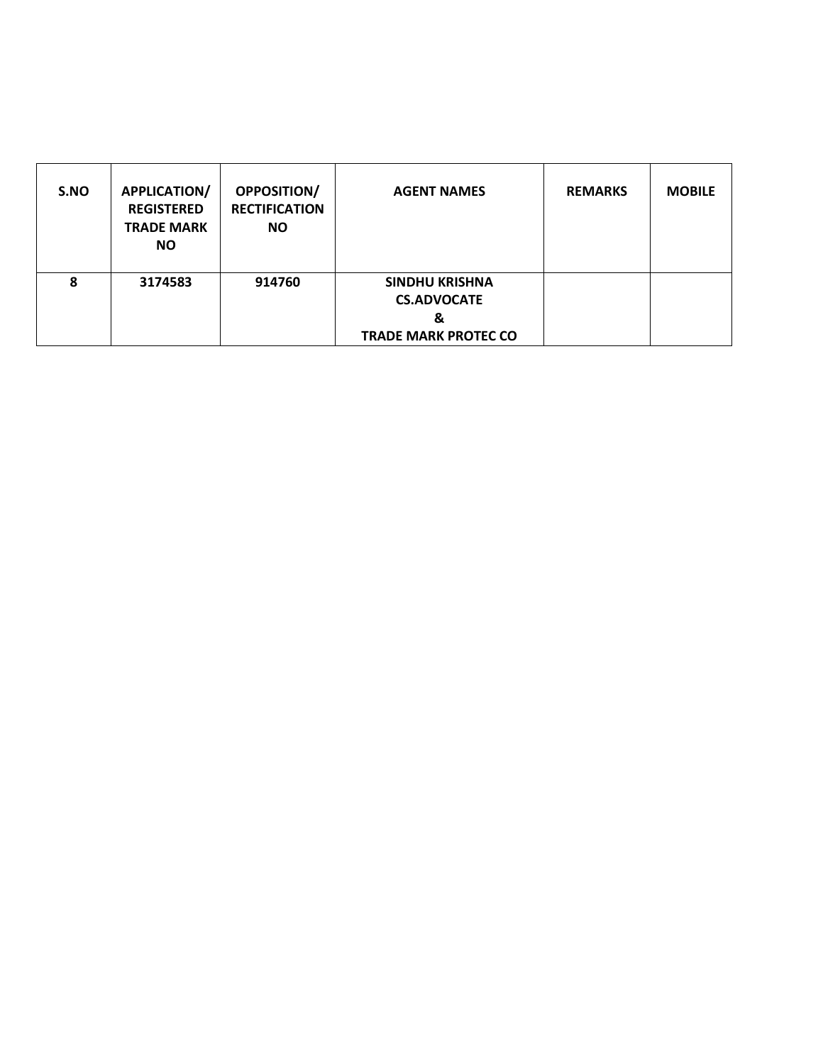| S.NO | <b>APPLICATION/</b><br><b>REGISTERED</b><br><b>TRADE MARK</b><br><b>NO</b> | <b>OPPOSITION/</b><br><b>RECTIFICATION</b><br><b>NO</b> | <b>AGENT NAMES</b>                                                              | <b>REMARKS</b> | <b>MOBILE</b> |
|------|----------------------------------------------------------------------------|---------------------------------------------------------|---------------------------------------------------------------------------------|----------------|---------------|
| 8    | 3174583                                                                    | 914760                                                  | <b>SINDHU KRISHNA</b><br><b>CS.ADVOCATE</b><br>&<br><b>TRADE MARK PROTEC CO</b> |                |               |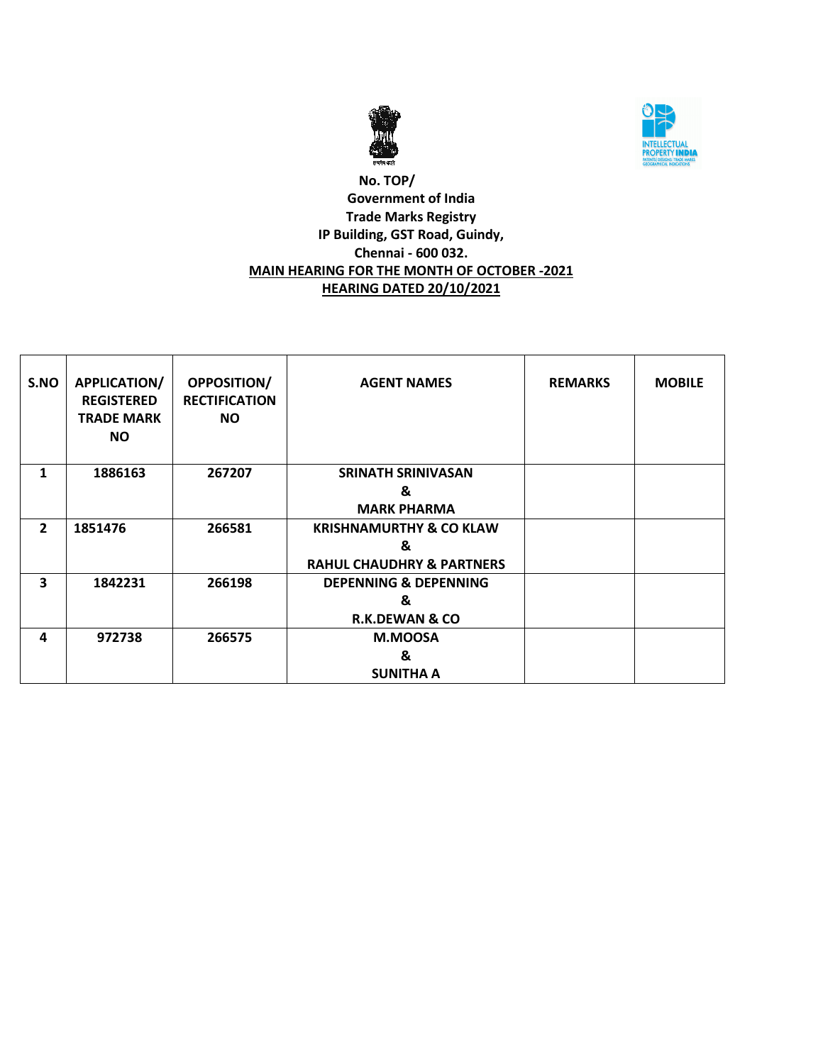



#### **No. TOP/ Government of India Trade Marks Registry IP Building, GST Road, Guindy, Chennai - 600 032. MAIN HEARING FOR THE MONTH OF OCTOBER -2021 HEARING DATED 20/10/2021**

| S.NO                    | <b>APPLICATION/</b><br><b>REGISTERED</b><br><b>TRADE MARK</b><br><b>NO</b> | <b>OPPOSITION/</b><br><b>RECTIFICATION</b><br><b>NO</b> | <b>AGENT NAMES</b>                                                              | <b>REMARKS</b> | <b>MOBILE</b> |
|-------------------------|----------------------------------------------------------------------------|---------------------------------------------------------|---------------------------------------------------------------------------------|----------------|---------------|
| 1                       | 1886163                                                                    | 267207                                                  | <b>SRINATH SRINIVASAN</b><br>&<br><b>MARK PHARMA</b>                            |                |               |
| $\overline{2}$          | 1851476                                                                    | 266581                                                  | <b>KRISHNAMURTHY &amp; CO KLAW</b><br>&<br><b>RAHUL CHAUDHRY &amp; PARTNERS</b> |                |               |
| $\overline{\mathbf{3}}$ | 1842231                                                                    | 266198                                                  | <b>DEPENNING &amp; DEPENNING</b><br>&<br><b>R.K.DEWAN &amp; CO</b>              |                |               |
| 4                       | 972738                                                                     | 266575                                                  | M.MOOSA<br>&<br><b>SUNITHA A</b>                                                |                |               |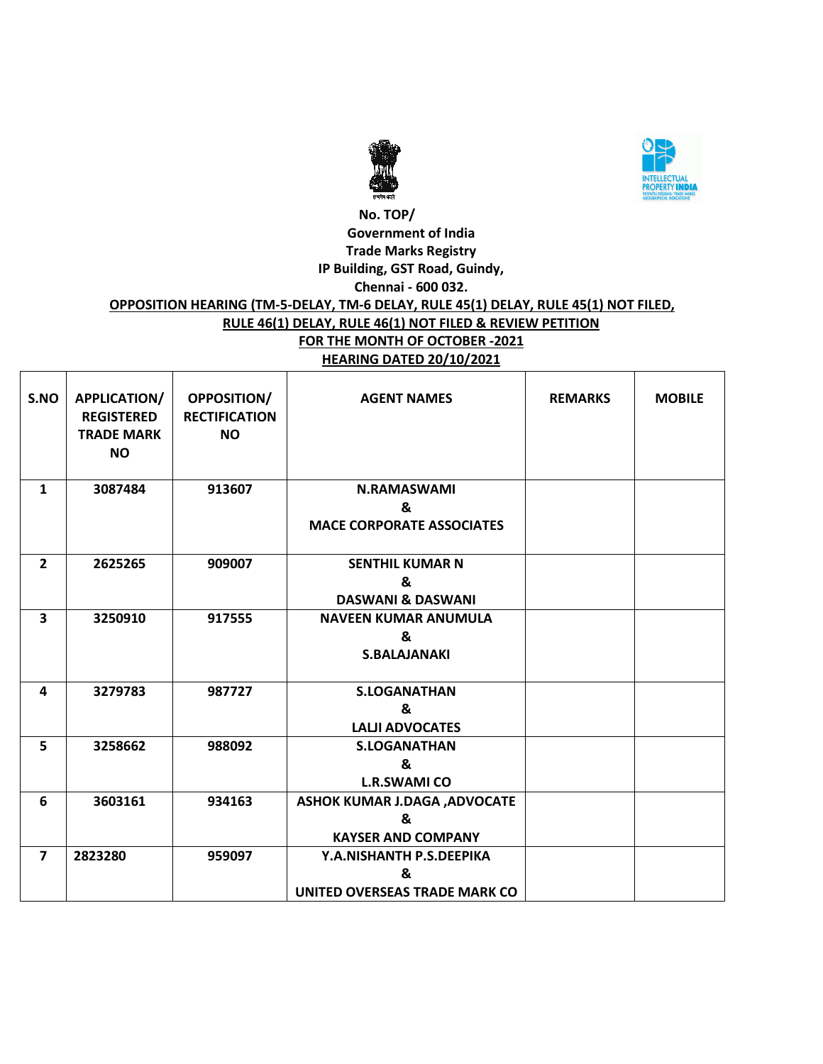



#### **No. TOP/ Government of India Trade Marks Registry IP Building, GST Road, Guindy, Chennai - 600 032. OPPOSITION HEARING (TM-5-DELAY, TM-6 DELAY, RULE 45(1) DELAY, RULE 45(1) NOT FILED, RULE 46(1) DELAY, RULE 46(1) NOT FILED & REVIEW PETITION FOR THE MONTH OF OCTOBER -2021 HEARING DATED 20/10/2021**

| S.NO           | APPLICATION/<br><b>REGISTERED</b><br><b>TRADE MARK</b><br><b>NO</b> | <b>OPPOSITION/</b><br><b>RECTIFICATION</b><br><b>NO</b> | <b>AGENT NAMES</b>                                                     | <b>REMARKS</b> | <b>MOBILE</b> |
|----------------|---------------------------------------------------------------------|---------------------------------------------------------|------------------------------------------------------------------------|----------------|---------------|
| $\mathbf{1}$   | 3087484                                                             | 913607                                                  | <b>N.RAMASWAMI</b><br>&<br><b>MACE CORPORATE ASSOCIATES</b>            |                |               |
| $\overline{2}$ | 2625265                                                             | 909007                                                  | <b>SENTHIL KUMAR N</b><br>&<br><b>DASWANI &amp; DASWANI</b>            |                |               |
| 3              | 3250910                                                             | 917555                                                  | <b>NAVEEN KUMAR ANUMULA</b><br>&<br><b>S.BALAJANAKI</b>                |                |               |
| 4              | 3279783                                                             | 987727                                                  | <b>S.LOGANATHAN</b><br>&<br><b>LALJI ADVOCATES</b>                     |                |               |
| 5              | 3258662                                                             | 988092                                                  | <b>S.LOGANATHAN</b><br>&<br><b>L.R.SWAMI CO</b>                        |                |               |
| 6              | 3603161                                                             | 934163                                                  | <b>ASHOK KUMAR J.DAGA , ADVOCATE</b><br>ጼ<br><b>KAYSER AND COMPANY</b> |                |               |
| $\overline{7}$ | 2823280                                                             | 959097                                                  | Y.A.NISHANTH P.S.DEEPIKA<br>&<br>UNITED OVERSEAS TRADE MARK CO         |                |               |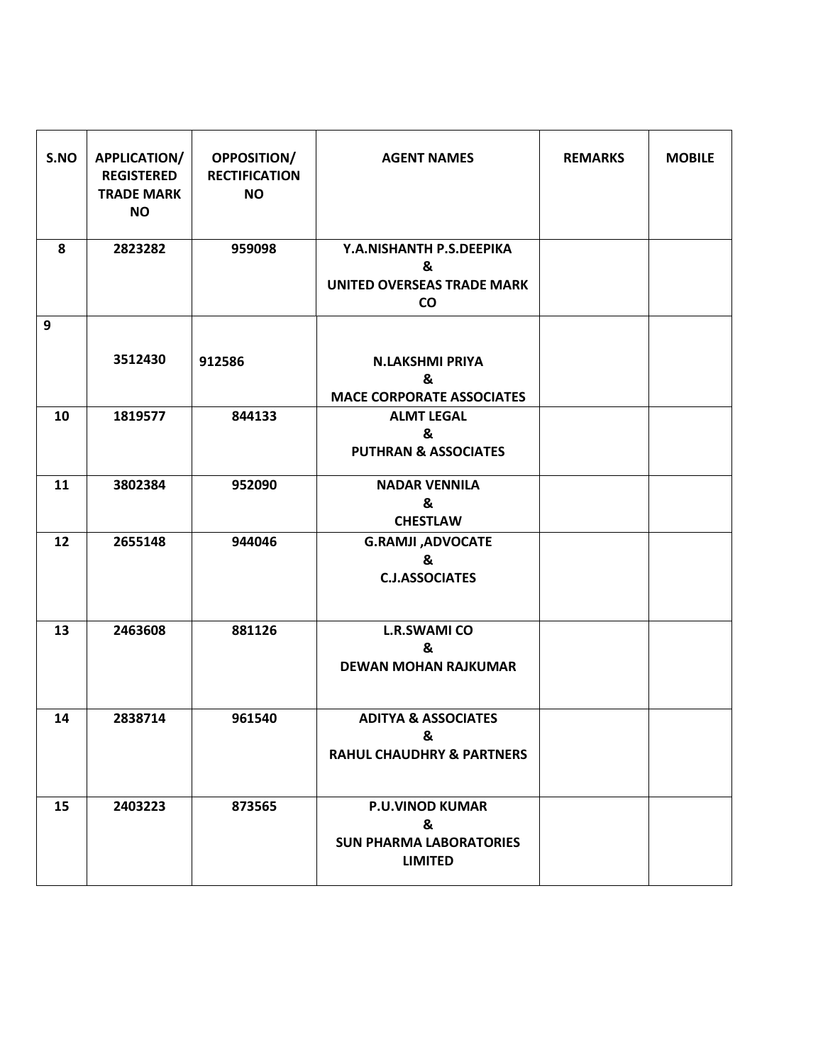| S.NO | APPLICATION/<br><b>REGISTERED</b><br><b>TRADE MARK</b><br><b>NO</b> | OPPOSITION/<br><b>RECTIFICATION</b><br><b>NO</b> | <b>AGENT NAMES</b>                                                              | <b>REMARKS</b> | <b>MOBILE</b> |
|------|---------------------------------------------------------------------|--------------------------------------------------|---------------------------------------------------------------------------------|----------------|---------------|
| 8    | 2823282                                                             | 959098                                           | Y.A.NISHANTH P.S.DEEPIKA<br>&<br><b>UNITED OVERSEAS TRADE MARK</b><br>co        |                |               |
| 9    |                                                                     |                                                  |                                                                                 |                |               |
|      | 3512430                                                             | 912586                                           | <b>N.LAKSHMI PRIYA</b><br>&<br><b>MACE CORPORATE ASSOCIATES</b>                 |                |               |
| 10   | 1819577                                                             | 844133                                           | <b>ALMT LEGAL</b><br>&<br><b>PUTHRAN &amp; ASSOCIATES</b>                       |                |               |
| 11   | 3802384                                                             | 952090                                           | <b>NADAR VENNILA</b><br>&<br><b>CHESTLAW</b>                                    |                |               |
| 12   | 2655148                                                             | 944046                                           | <b>G.RAMJI, ADVOCATE</b><br>&<br><b>C.J.ASSOCIATES</b>                          |                |               |
| 13   | 2463608                                                             | 881126                                           | <b>L.R.SWAMI CO</b><br>&<br><b>DEWAN MOHAN RAJKUMAR</b>                         |                |               |
| 14   | 2838714                                                             | 961540                                           | <b>ADITYA &amp; ASSOCIATES</b><br>&<br><b>RAHUL CHAUDHRY &amp; PARTNERS</b>     |                |               |
| 15   | 2403223                                                             | 873565                                           | <b>P.U.VINOD KUMAR</b><br>&<br><b>SUN PHARMA LABORATORIES</b><br><b>LIMITED</b> |                |               |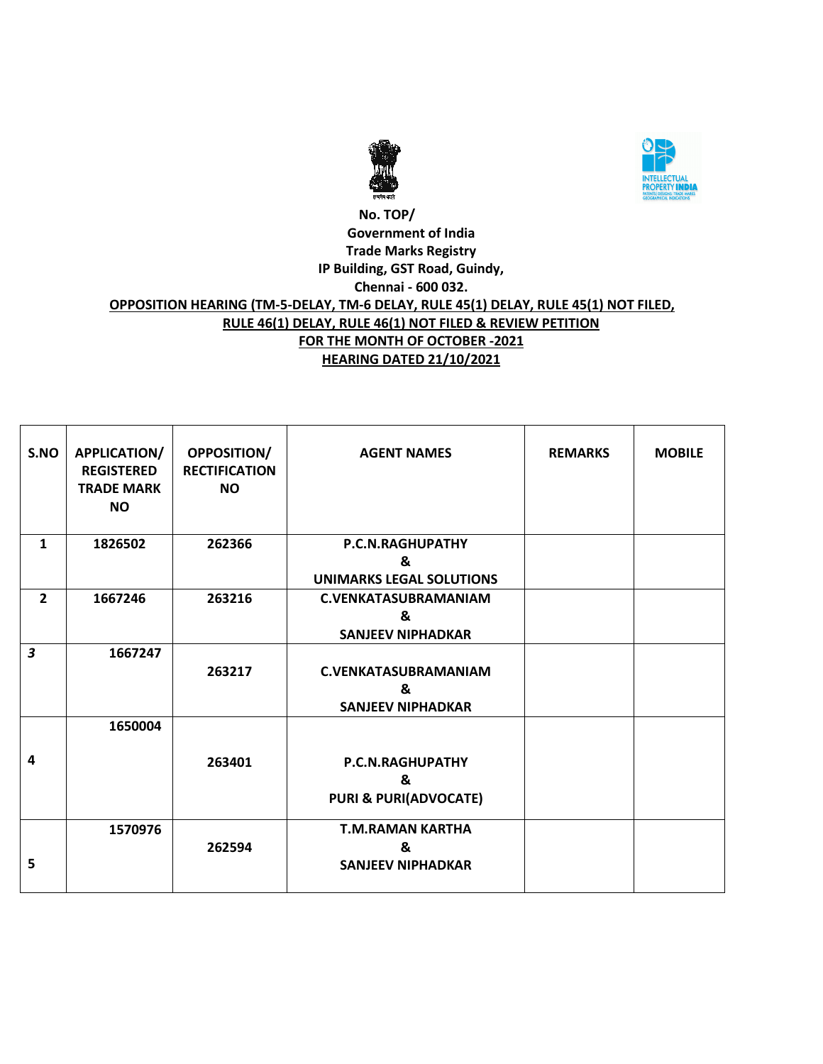



#### **No. TOP/ Government of India Trade Marks Registry IP Building, GST Road, Guindy, Chennai - 600 032. OPPOSITION HEARING (TM-5-DELAY, TM-6 DELAY, RULE 45(1) DELAY, RULE 45(1) NOT FILED, RULE 46(1) DELAY, RULE 46(1) NOT FILED & REVIEW PETITION FOR THE MONTH OF OCTOBER -2021 HEARING DATED 21/10/2021**

| S.NO                    | <b>APPLICATION/</b><br><b>REGISTERED</b><br><b>TRADE MARK</b><br><b>NO</b> | <b>OPPOSITION/</b><br><b>RECTIFICATION</b><br><b>NO</b> | <b>AGENT NAMES</b>               | <b>REMARKS</b> | <b>MOBILE</b> |
|-------------------------|----------------------------------------------------------------------------|---------------------------------------------------------|----------------------------------|----------------|---------------|
| $\mathbf{1}$            | 1826502                                                                    | 262366                                                  | P.C.N.RAGHUPATHY                 |                |               |
|                         |                                                                            |                                                         | &                                |                |               |
|                         |                                                                            |                                                         | <b>UNIMARKS LEGAL SOLUTIONS</b>  |                |               |
| $\overline{2}$          | 1667246                                                                    | 263216                                                  | <b>C.VENKATASUBRAMANIAM</b>      |                |               |
|                         |                                                                            |                                                         | &                                |                |               |
|                         |                                                                            |                                                         | <b>SANJEEV NIPHADKAR</b>         |                |               |
| $\overline{\mathbf{3}}$ | 1667247                                                                    |                                                         |                                  |                |               |
|                         |                                                                            | 263217                                                  | <b>C.VENKATASUBRAMANIAM</b>      |                |               |
|                         |                                                                            |                                                         | &                                |                |               |
|                         |                                                                            |                                                         | <b>SANJEEV NIPHADKAR</b>         |                |               |
|                         | 1650004                                                                    |                                                         |                                  |                |               |
| 4                       |                                                                            | 263401                                                  | P.C.N.RAGHUPATHY                 |                |               |
|                         |                                                                            |                                                         | &                                |                |               |
|                         |                                                                            |                                                         | <b>PURI &amp; PURI(ADVOCATE)</b> |                |               |
|                         | 1570976                                                                    |                                                         | <b>T.M.RAMAN KARTHA</b>          |                |               |
|                         |                                                                            | 262594                                                  | &                                |                |               |
| 5                       |                                                                            |                                                         | <b>SANJEEV NIPHADKAR</b>         |                |               |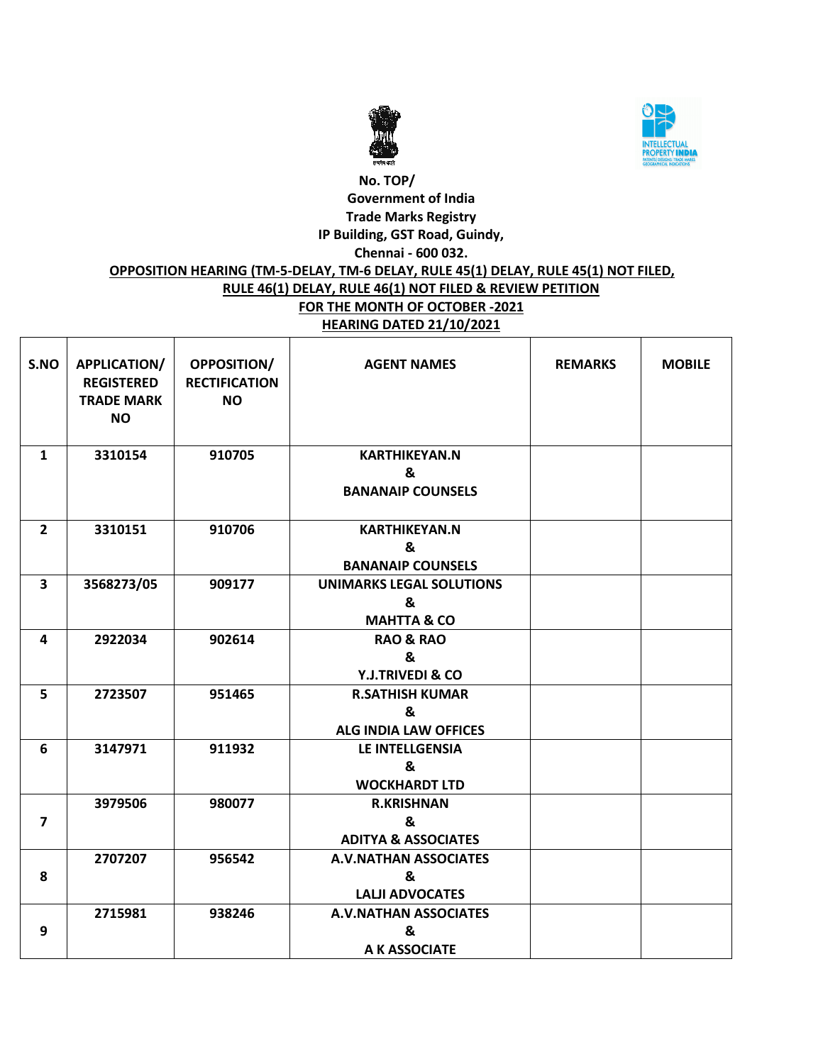



### **No. TOP/ Government of India Trade Marks Registry IP Building, GST Road, Guindy, Chennai - 600 032. OPPOSITION HEARING (TM-5-DELAY, TM-6 DELAY, RULE 45(1) DELAY, RULE 45(1) NOT FILED, RULE 46(1) DELAY, RULE 46(1) NOT FILED & REVIEW PETITION FOR THE MONTH OF OCTOBER -2021 HEARING DATED 21/10/2021**

| S.NO                    | APPLICATION/<br><b>REGISTERED</b><br><b>TRADE MARK</b><br><b>NO</b> | <b>OPPOSITION/</b><br><b>RECTIFICATION</b><br><b>NO</b> | <b>AGENT NAMES</b>                                             | <b>REMARKS</b> | <b>MOBILE</b> |
|-------------------------|---------------------------------------------------------------------|---------------------------------------------------------|----------------------------------------------------------------|----------------|---------------|
| $\mathbf{1}$            | 3310154                                                             | 910705                                                  | <b>KARTHIKEYAN.N</b><br>&<br><b>BANANAIP COUNSELS</b>          |                |               |
| $\overline{2}$          | 3310151                                                             | 910706                                                  | <b>KARTHIKEYAN.N</b><br>&<br><b>BANANAIP COUNSELS</b>          |                |               |
| 3                       | 3568273/05                                                          | 909177                                                  | <b>UNIMARKS LEGAL SOLUTIONS</b><br>&<br><b>MAHTTA &amp; CO</b> |                |               |
| 4                       | 2922034                                                             | 902614                                                  | <b>RAO &amp; RAO</b><br>&<br><b>Y.J.TRIVEDI &amp; CO</b>       |                |               |
| 5                       | 2723507                                                             | 951465                                                  | <b>R.SATHISH KUMAR</b><br>&<br><b>ALG INDIA LAW OFFICES</b>    |                |               |
| 6                       | 3147971                                                             | 911932                                                  | <b>LE INTELLGENSIA</b><br>&<br><b>WOCKHARDT LTD</b>            |                |               |
| $\overline{\mathbf{z}}$ | 3979506                                                             | 980077                                                  | <b>R.KRISHNAN</b><br>&<br><b>ADITYA &amp; ASSOCIATES</b>       |                |               |
| 8                       | 2707207                                                             | 956542                                                  | <b>A.V.NATHAN ASSOCIATES</b><br>&<br><b>LALJI ADVOCATES</b>    |                |               |
| 9                       | 2715981                                                             | 938246                                                  | <b>A.V.NATHAN ASSOCIATES</b><br>&<br>A K ASSOCIATE             |                |               |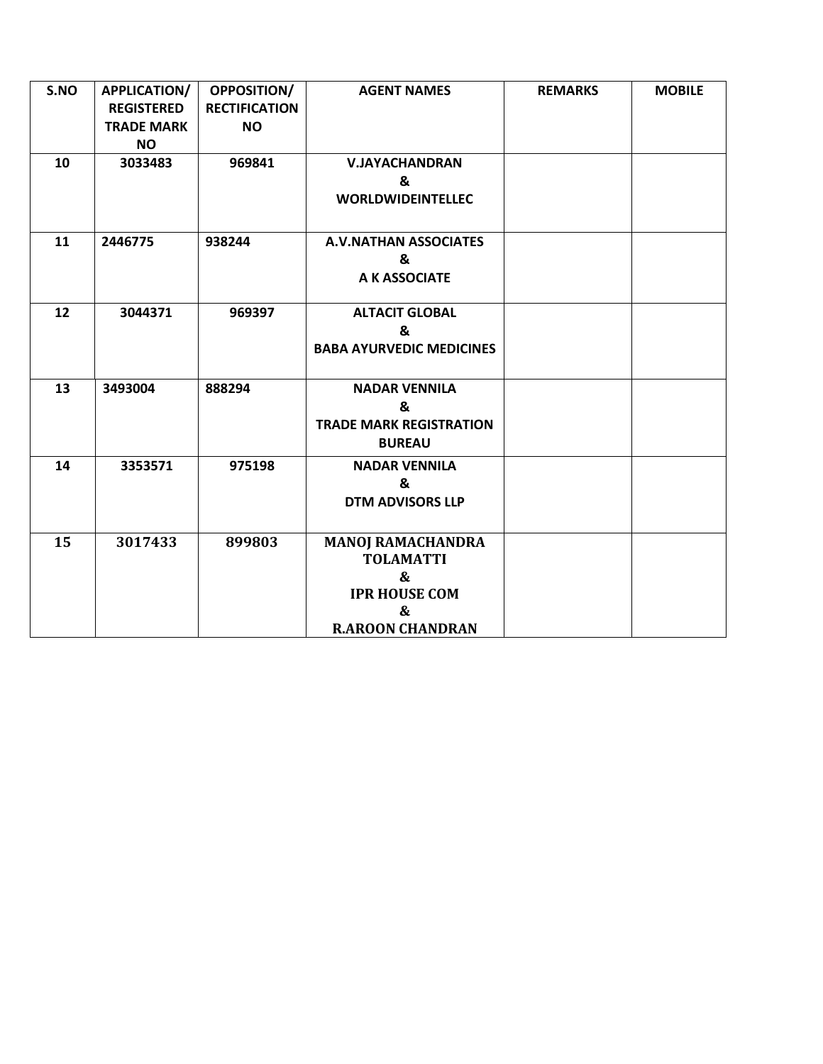| S.NO | APPLICATION/      | OPPOSITION/          | <b>AGENT NAMES</b>              | <b>REMARKS</b> | <b>MOBILE</b> |
|------|-------------------|----------------------|---------------------------------|----------------|---------------|
|      | <b>REGISTERED</b> | <b>RECTIFICATION</b> |                                 |                |               |
|      | <b>TRADE MARK</b> | <b>NO</b>            |                                 |                |               |
|      | <b>NO</b>         |                      |                                 |                |               |
| 10   | 3033483           | 969841               | <b>V.JAYACHANDRAN</b>           |                |               |
|      |                   |                      | &                               |                |               |
|      |                   |                      | <b>WORLDWIDEINTELLEC</b>        |                |               |
|      |                   |                      |                                 |                |               |
| 11   | 2446775           | 938244               | <b>A.V.NATHAN ASSOCIATES</b>    |                |               |
|      |                   |                      | &                               |                |               |
|      |                   |                      | A K ASSOCIATE                   |                |               |
|      |                   |                      |                                 |                |               |
| 12   | 3044371           | 969397               | <b>ALTACIT GLOBAL</b>           |                |               |
|      |                   |                      | &                               |                |               |
|      |                   |                      | <b>BABA AYURVEDIC MEDICINES</b> |                |               |
|      |                   |                      |                                 |                |               |
| 13   | 3493004           | 888294               | <b>NADAR VENNILA</b>            |                |               |
|      |                   |                      | &                               |                |               |
|      |                   |                      | <b>TRADE MARK REGISTRATION</b>  |                |               |
|      |                   |                      | <b>BUREAU</b>                   |                |               |
| 14   | 3353571           | 975198               | <b>NADAR VENNILA</b>            |                |               |
|      |                   |                      | &                               |                |               |
|      |                   |                      | <b>DTM ADVISORS LLP</b>         |                |               |
|      |                   |                      |                                 |                |               |
| 15   | 3017433           | 899803               | <b>MANOJ RAMACHANDRA</b>        |                |               |
|      |                   |                      | <b>TOLAMATTI</b>                |                |               |
|      |                   |                      | &                               |                |               |
|      |                   |                      | <b>IPR HOUSE COM</b>            |                |               |
|      |                   |                      | &                               |                |               |
|      |                   |                      | <b>R.AROON CHANDRAN</b>         |                |               |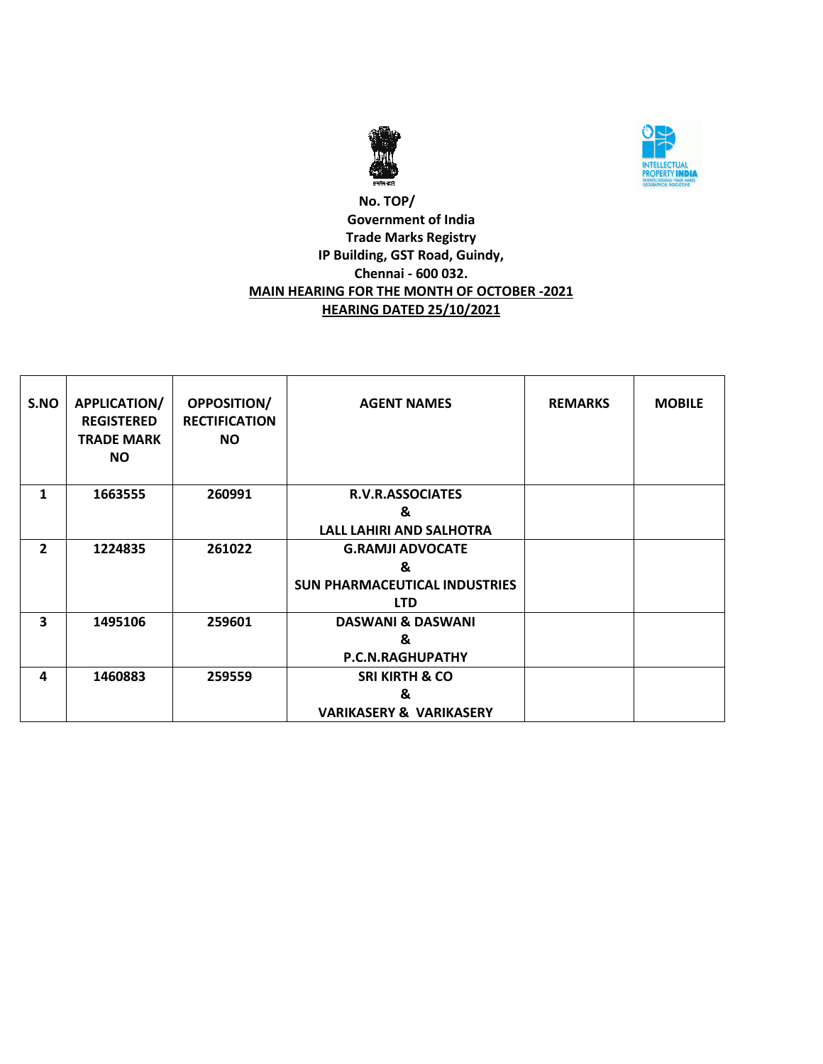



### **No. TOP/ Government of India Trade Marks Registry IP Building, GST Road, Guindy, Chennai - 600 032. MAIN HEARING FOR THE MONTH OF OCTOBER -2021 HEARING DATED 25/10/2021**

| S.NO           | <b>APPLICATION/</b><br><b>REGISTERED</b><br><b>TRADE MARK</b><br>NO. | <b>OPPOSITION/</b><br><b>RECTIFICATION</b><br><b>NO</b> | <b>AGENT NAMES</b>                   | <b>REMARKS</b> | <b>MOBILE</b> |
|----------------|----------------------------------------------------------------------|---------------------------------------------------------|--------------------------------------|----------------|---------------|
| 1              | 1663555                                                              | 260991                                                  | R.V.R.ASSOCIATES                     |                |               |
|                |                                                                      |                                                         | &                                    |                |               |
|                |                                                                      |                                                         | <b>LALL LAHIRI AND SALHOTRA</b>      |                |               |
| $\overline{2}$ | 1224835                                                              | 261022                                                  | <b>G.RAMJI ADVOCATE</b>              |                |               |
|                |                                                                      |                                                         | &                                    |                |               |
|                |                                                                      |                                                         | <b>SUN PHARMACEUTICAL INDUSTRIES</b> |                |               |
|                |                                                                      |                                                         | <b>LTD</b>                           |                |               |
| 3              | 1495106                                                              | 259601                                                  | <b>DASWANI &amp; DASWANI</b>         |                |               |
|                |                                                                      |                                                         | &                                    |                |               |
|                |                                                                      |                                                         | P.C.N.RAGHUPATHY                     |                |               |
| 4              | 1460883                                                              | 259559                                                  | <b>SRI KIRTH &amp; CO</b>            |                |               |
|                |                                                                      |                                                         | &                                    |                |               |
|                |                                                                      |                                                         | <b>VARIKASERY &amp; VARIKASERY</b>   |                |               |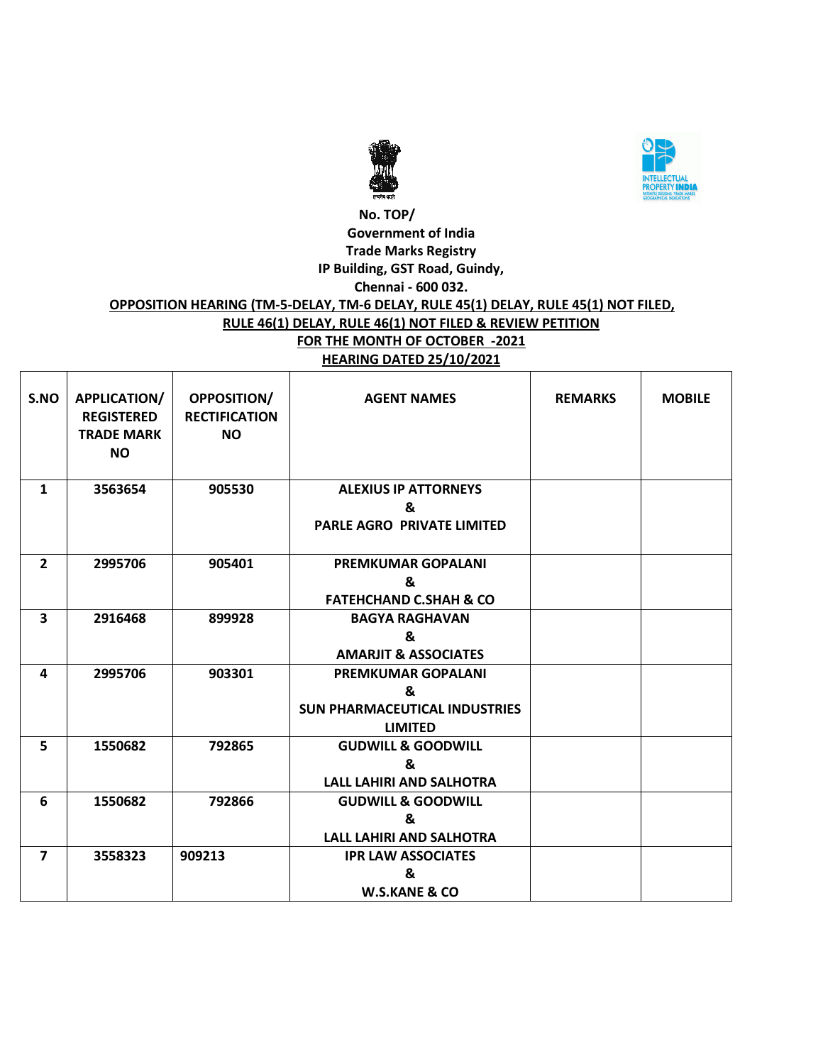



#### **No. TOP/ Government of India Trade Marks Registry IP Building, GST Road, Guindy, Chennai - 600 032. OPPOSITION HEARING (TM-5-DELAY, TM-6 DELAY, RULE 45(1) DELAY, RULE 45(1) NOT FILED, RULE 46(1) DELAY, RULE 46(1) NOT FILED & REVIEW PETITION FOR THE MONTH OF OCTOBER -2021 HEARING DATED 25/10/2021**

| S.NO                    | <b>APPLICATION/</b><br><b>REGISTERED</b><br><b>TRADE MARK</b><br><b>NO</b> | <b>OPPOSITION/</b><br><b>RECTIFICATION</b><br><b>NO</b> | <b>AGENT NAMES</b>                                                                       | <b>REMARKS</b> | <b>MOBILE</b> |
|-------------------------|----------------------------------------------------------------------------|---------------------------------------------------------|------------------------------------------------------------------------------------------|----------------|---------------|
| $\mathbf{1}$            | 3563654                                                                    | 905530                                                  | <b>ALEXIUS IP ATTORNEYS</b><br>&<br>PARLE AGRO PRIVATE LIMITED                           |                |               |
| $\overline{2}$          | 2995706                                                                    | 905401                                                  | <b>PREMKUMAR GOPALANI</b><br>&<br><b>FATEHCHAND C.SHAH &amp; CO</b>                      |                |               |
| $\overline{\mathbf{3}}$ | 2916468                                                                    | 899928                                                  | <b>BAGYA RAGHAVAN</b><br>&<br><b>AMARJIT &amp; ASSOCIATES</b>                            |                |               |
| 4                       | 2995706                                                                    | 903301                                                  | <b>PREMKUMAR GOPALANI</b><br>&<br><b>SUN PHARMACEUTICAL INDUSTRIES</b><br><b>LIMITED</b> |                |               |
| 5                       | 1550682                                                                    | 792865                                                  | <b>GUDWILL &amp; GOODWILL</b><br>&<br>LALL LAHIRI AND SALHOTRA                           |                |               |
| 6                       | 1550682                                                                    | 792866                                                  | <b>GUDWILL &amp; GOODWILL</b><br>&<br><b>LALL LAHIRI AND SALHOTRA</b>                    |                |               |
| $\overline{\mathbf{z}}$ | 3558323                                                                    | 909213                                                  | <b>IPR LAW ASSOCIATES</b><br>&<br><b>W.S.KANE &amp; CO</b>                               |                |               |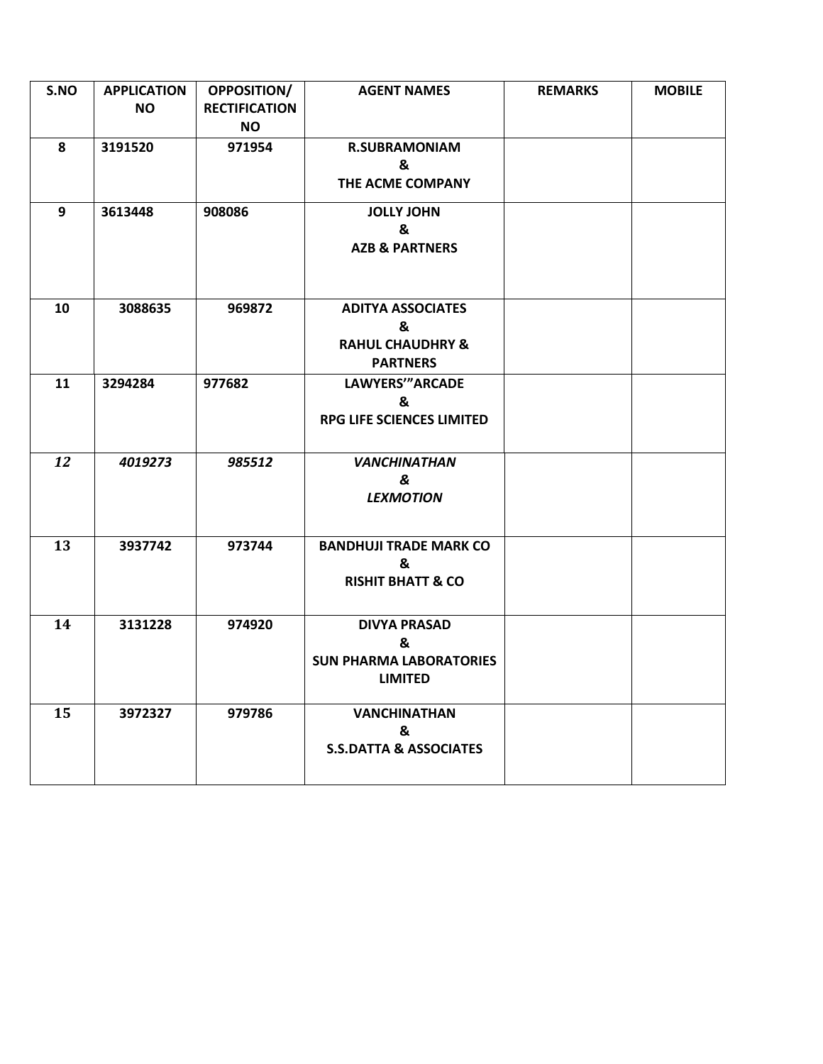| S.NO | <b>APPLICATION</b><br>NO. | OPPOSITION/<br><b>RECTIFICATION</b><br><b>NO</b> | <b>AGENT NAMES</b>                                                              | <b>REMARKS</b> | <b>MOBILE</b> |
|------|---------------------------|--------------------------------------------------|---------------------------------------------------------------------------------|----------------|---------------|
| 8    | 3191520                   | 971954                                           | <b>R.SUBRAMONIAM</b><br>&<br>THE ACME COMPANY                                   |                |               |
| 9    | 3613448                   | 908086                                           | <b>JOLLY JOHN</b><br>&<br><b>AZB &amp; PARTNERS</b>                             |                |               |
| 10   | 3088635                   | 969872                                           | <b>ADITYA ASSOCIATES</b><br>&<br><b>RAHUL CHAUDHRY &amp;</b><br><b>PARTNERS</b> |                |               |
| 11   | 3294284                   | 977682                                           | <b>LAWYERS'"ARCADE</b><br>&<br>RPG LIFE SCIENCES LIMITED                        |                |               |
| 12   | 4019273                   | 985512                                           | <b>VANCHINATHAN</b><br>&<br><b>LEXMOTION</b>                                    |                |               |
| 13   | 3937742                   | 973744                                           | <b>BANDHUJI TRADE MARK CO</b><br>&<br><b>RISHIT BHATT &amp; CO</b>              |                |               |
| 14   | 3131228                   | 974920                                           | <b>DIVYA PRASAD</b><br>&<br><b>SUN PHARMA LABORATORIES</b><br><b>LIMITED</b>    |                |               |
| 15   | 3972327                   | 979786                                           | <b>VANCHINATHAN</b><br>&<br><b>S.S.DATTA &amp; ASSOCIATES</b>                   |                |               |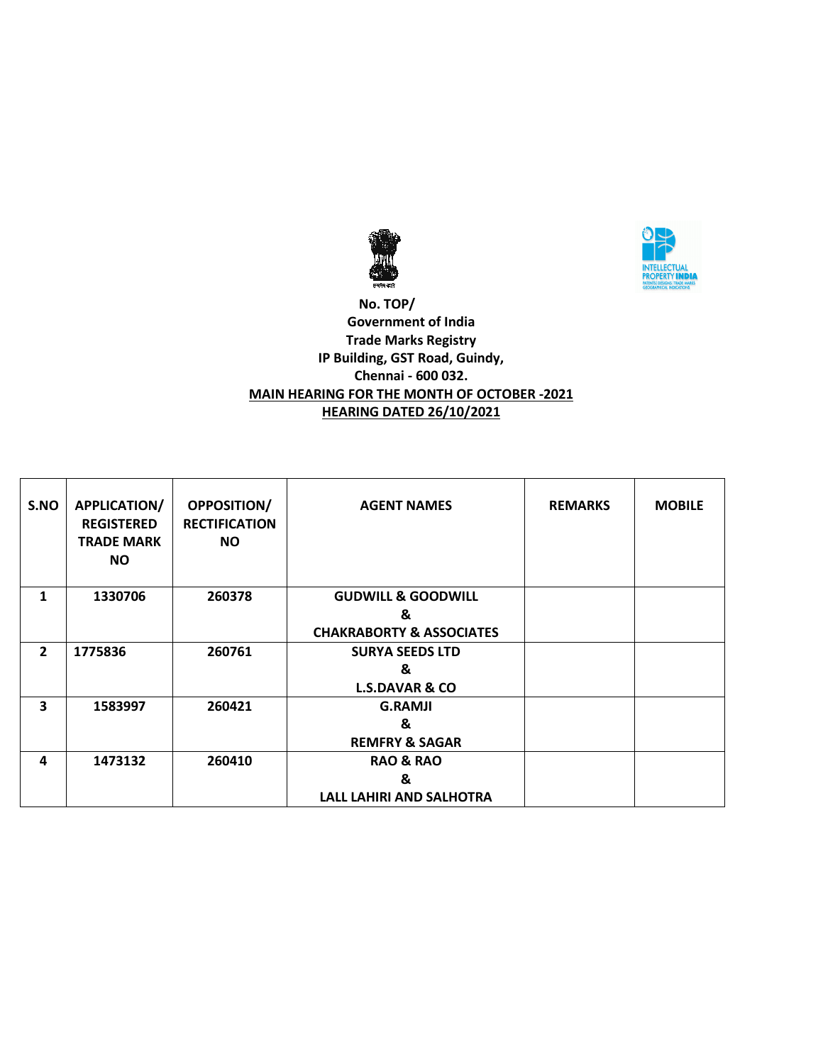



 **No. TOP/ Government of India Trade Marks Registry IP Building, GST Road, Guindy, Chennai - 600 032. MAIN HEARING FOR THE MONTH OF OCTOBER -2021 HEARING DATED 26/10/2021**

| S.NO           | <b>APPLICATION/</b><br><b>REGISTERED</b><br><b>TRADE MARK</b><br><b>NO</b> | <b>OPPOSITION/</b><br><b>RECTIFICATION</b><br><b>NO</b> | <b>AGENT NAMES</b>                  | <b>REMARKS</b> | <b>MOBILE</b> |
|----------------|----------------------------------------------------------------------------|---------------------------------------------------------|-------------------------------------|----------------|---------------|
| 1              | 1330706                                                                    | 260378                                                  | <b>GUDWILL &amp; GOODWILL</b>       |                |               |
|                |                                                                            |                                                         | &                                   |                |               |
|                |                                                                            |                                                         | <b>CHAKRABORTY &amp; ASSOCIATES</b> |                |               |
| $\overline{2}$ | 1775836                                                                    | 260761                                                  | <b>SURYA SEEDS LTD</b>              |                |               |
|                |                                                                            |                                                         | &                                   |                |               |
|                |                                                                            |                                                         | <b>L.S.DAVAR &amp; CO</b>           |                |               |
| 3              | 1583997                                                                    | 260421                                                  | <b>G.RAMJI</b>                      |                |               |
|                |                                                                            |                                                         | &                                   |                |               |
|                |                                                                            |                                                         | <b>REMFRY &amp; SAGAR</b>           |                |               |
| 4              | 1473132                                                                    | 260410                                                  | <b>RAO &amp; RAO</b>                |                |               |
|                |                                                                            |                                                         | &                                   |                |               |
|                |                                                                            |                                                         | LALL LAHIRI AND SALHOTRA            |                |               |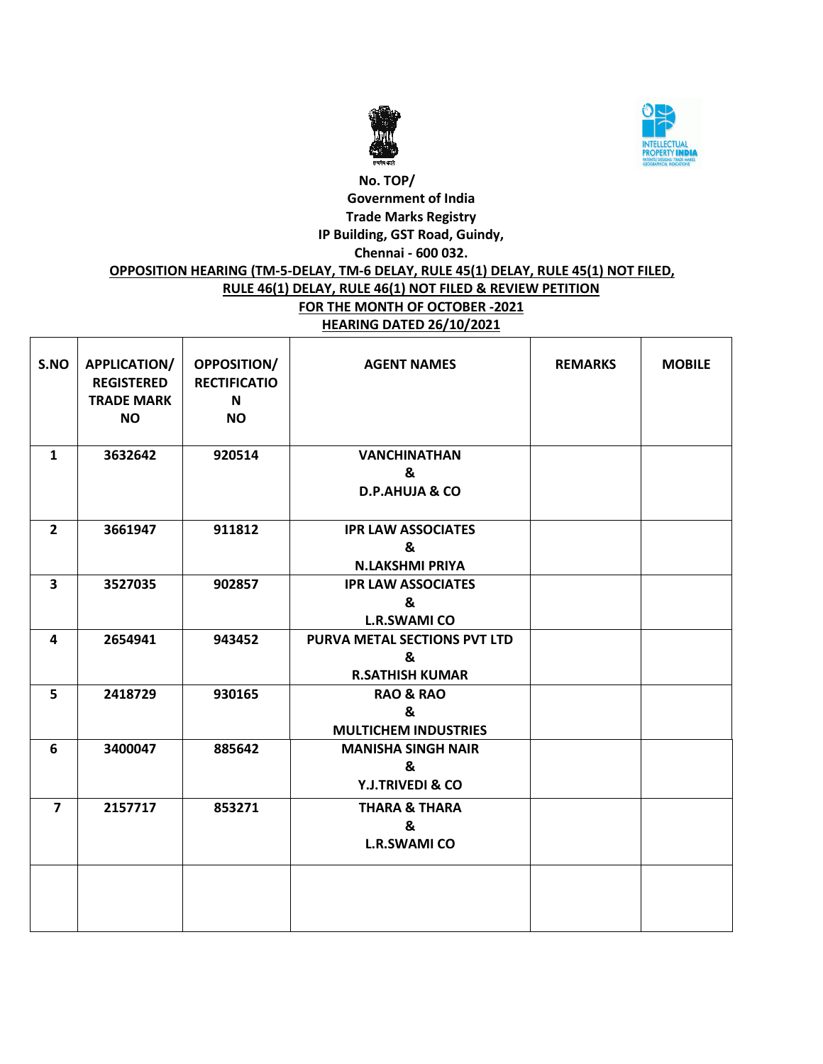



#### **No. TOP/ Government of India Trade Marks Registry IP Building, GST Road, Guindy, Chennai - 600 032. OPPOSITION HEARING (TM-5-DELAY, TM-6 DELAY, RULE 45(1) DELAY, RULE 45(1) NOT FILED, RULE 46(1) DELAY, RULE 46(1) NOT FILED & REVIEW PETITION FOR THE MONTH OF OCTOBER -2021 HEARING DATED 26/10/2021**

| S.NO                    | APPLICATION/<br><b>REGISTERED</b><br><b>TRADE MARK</b><br><b>NO</b> | OPPOSITION/<br><b>RECTIFICATIO</b><br>N<br><b>NO</b> | <b>AGENT NAMES</b>                                          | <b>REMARKS</b> | <b>MOBILE</b> |
|-------------------------|---------------------------------------------------------------------|------------------------------------------------------|-------------------------------------------------------------|----------------|---------------|
| $\mathbf{1}$            | 3632642                                                             | 920514                                               | <b>VANCHINATHAN</b><br>&<br><b>D.P.AHUJA &amp; CO</b>       |                |               |
| $2^{\circ}$             | 3661947                                                             | 911812                                               | <b>IPR LAW ASSOCIATES</b><br>&<br><b>N.LAKSHMI PRIYA</b>    |                |               |
| $\overline{\mathbf{3}}$ | 3527035                                                             | 902857                                               | <b>IPR LAW ASSOCIATES</b><br>&<br><b>L.R.SWAMI CO</b>       |                |               |
| $\overline{\mathbf{4}}$ | 2654941                                                             | 943452                                               | PURVA METAL SECTIONS PVT LTD<br>&<br><b>R.SATHISH KUMAR</b> |                |               |
| 5                       | 2418729                                                             | 930165                                               | <b>RAO &amp; RAO</b><br>&<br><b>MULTICHEM INDUSTRIES</b>    |                |               |
| 6                       | 3400047                                                             | 885642                                               | <b>MANISHA SINGH NAIR</b><br>&<br>Y.J.TRIVEDI & CO          |                |               |
| $\overline{7}$          | 2157717                                                             | 853271                                               | <b>THARA &amp; THARA</b><br>&<br><b>L.R.SWAMI CO</b>        |                |               |
|                         |                                                                     |                                                      |                                                             |                |               |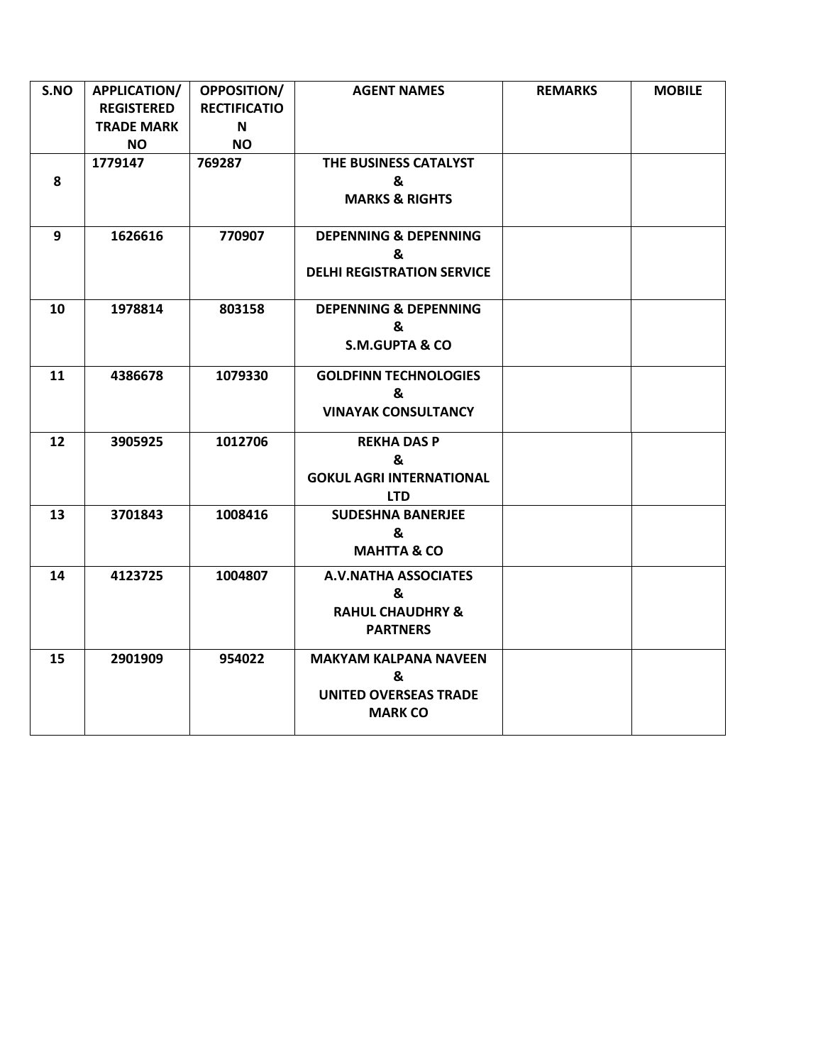| S.NO | APPLICATION/      | <b>OPPOSITION/</b>  | <b>AGENT NAMES</b>                | <b>REMARKS</b> | <b>MOBILE</b> |
|------|-------------------|---------------------|-----------------------------------|----------------|---------------|
|      | <b>REGISTERED</b> | <b>RECTIFICATIO</b> |                                   |                |               |
|      | <b>TRADE MARK</b> | N                   |                                   |                |               |
|      | <b>NO</b>         | <b>NO</b>           |                                   |                |               |
|      | 1779147           | 769287              | THE BUSINESS CATALYST             |                |               |
| 8    |                   |                     | &                                 |                |               |
|      |                   |                     | <b>MARKS &amp; RIGHTS</b>         |                |               |
| 9    | 1626616           | 770907              | <b>DEPENNING &amp; DEPENNING</b>  |                |               |
|      |                   |                     | &                                 |                |               |
|      |                   |                     | <b>DELHI REGISTRATION SERVICE</b> |                |               |
| 10   | 1978814           | 803158              | <b>DEPENNING &amp; DEPENNING</b>  |                |               |
|      |                   |                     | &                                 |                |               |
|      |                   |                     | <b>S.M.GUPTA &amp; CO</b>         |                |               |
| 11   | 4386678           | 1079330             | <b>GOLDFINN TECHNOLOGIES</b>      |                |               |
|      |                   |                     | &                                 |                |               |
|      |                   |                     | <b>VINAYAK CONSULTANCY</b>        |                |               |
| 12   | 3905925           | 1012706             | <b>REKHA DAS P</b>                |                |               |
|      |                   |                     | &                                 |                |               |
|      |                   |                     | <b>GOKUL AGRI INTERNATIONAL</b>   |                |               |
|      |                   |                     | <b>LTD</b>                        |                |               |
| 13   | 3701843           | 1008416             | <b>SUDESHNA BANERJEE</b>          |                |               |
|      |                   |                     | &                                 |                |               |
|      |                   |                     | <b>MAHTTA &amp; CO</b>            |                |               |
| 14   | 4123725           | 1004807             | <b>A.V.NATHA ASSOCIATES</b>       |                |               |
|      |                   |                     | &                                 |                |               |
|      |                   |                     | <b>RAHUL CHAUDHRY &amp;</b>       |                |               |
|      |                   |                     | <b>PARTNERS</b>                   |                |               |
| 15   | 2901909           | 954022              | <b>MAKYAM KALPANA NAVEEN</b>      |                |               |
|      |                   |                     | &                                 |                |               |
|      |                   |                     | <b>UNITED OVERSEAS TRADE</b>      |                |               |
|      |                   |                     | <b>MARK CO</b>                    |                |               |
|      |                   |                     |                                   |                |               |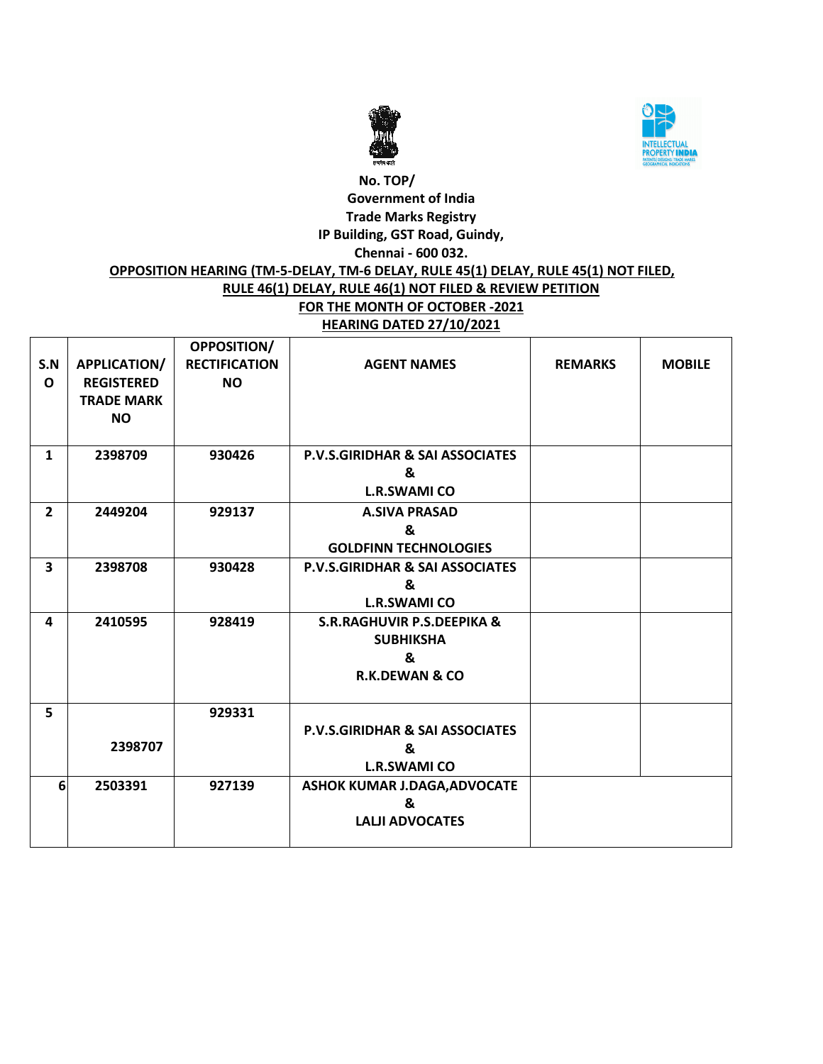



#### **No. TOP/ Government of India Trade Marks Registry IP Building, GST Road, Guindy, Chennai - 600 032. OPPOSITION HEARING (TM-5-DELAY, TM-6 DELAY, RULE 45(1) DELAY, RULE 45(1) NOT FILED, RULE 46(1) DELAY, RULE 46(1) NOT FILED & REVIEW PETITION FOR THE MONTH OF OCTOBER -2021**

# **HEARING DATED 27/10/2021**

| S.N<br>$\Omega$ | <b>APPLICATION/</b><br><b>REGISTERED</b><br><b>TRADE MARK</b><br><b>NO</b> | <b>OPPOSITION/</b><br><b>RECTIFICATION</b><br><b>NO</b> | <b>AGENT NAMES</b>                                                                          | <b>REMARKS</b> | <b>MOBILE</b> |
|-----------------|----------------------------------------------------------------------------|---------------------------------------------------------|---------------------------------------------------------------------------------------------|----------------|---------------|
|                 |                                                                            |                                                         |                                                                                             |                |               |
| $\mathbf{1}$    | 2398709                                                                    | 930426                                                  | P.V.S.GIRIDHAR & SAI ASSOCIATES<br>&<br><b>L.R.SWAMI CO</b>                                 |                |               |
| $\overline{2}$  | 2449204                                                                    | 929137                                                  | <b>A.SIVA PRASAD</b><br>&<br><b>GOLDFINN TECHNOLOGIES</b>                                   |                |               |
| 3               | 2398708                                                                    | 930428                                                  | P.V.S.GIRIDHAR & SAI ASSOCIATES<br>&<br><b>L.R.SWAMI CO</b>                                 |                |               |
| 4               | 2410595                                                                    | 928419                                                  | <b>S.R.RAGHUVIR P.S.DEEPIKA &amp;</b><br><b>SUBHIKSHA</b><br>&<br><b>R.K.DEWAN &amp; CO</b> |                |               |
| 5               | 2398707                                                                    | 929331                                                  | <b>P.V.S.GIRIDHAR &amp; SAI ASSOCIATES</b><br>&<br><b>L.R.SWAMI CO</b>                      |                |               |
| 6               | 2503391                                                                    | 927139                                                  | ASHOK KUMAR J.DAGA, ADVOCATE<br>&<br><b>LALJI ADVOCATES</b>                                 |                |               |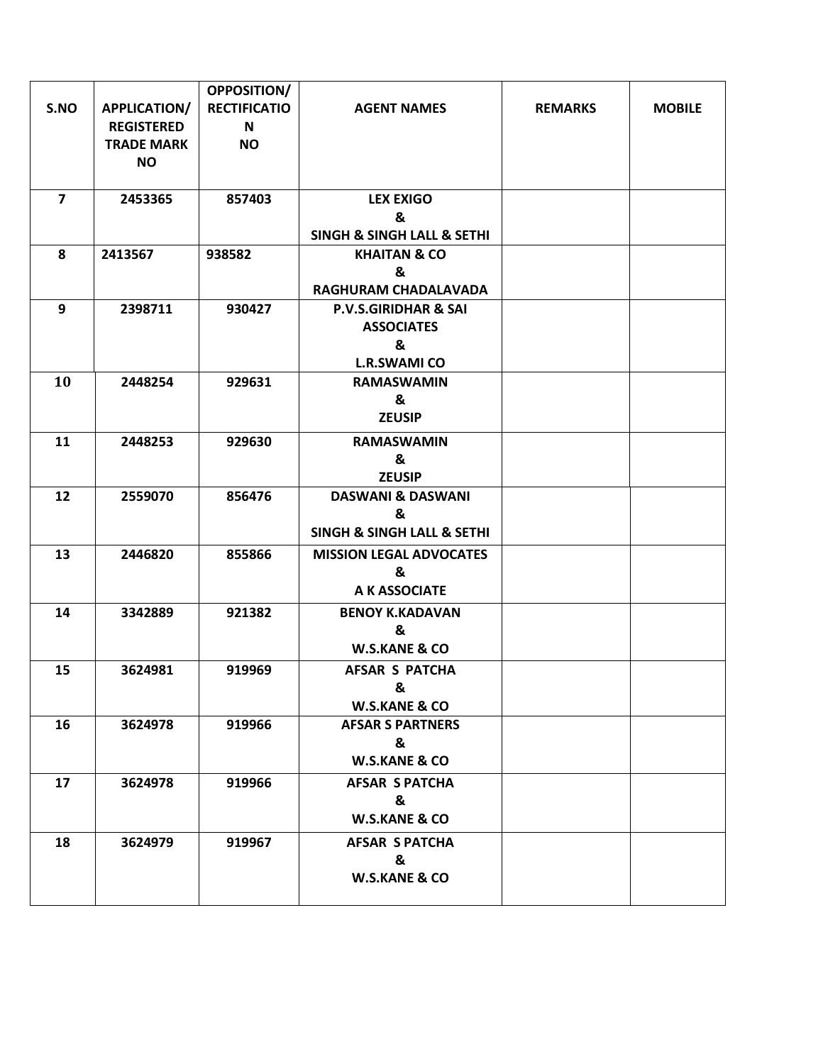|                |                     | OPPOSITION/         |                                           |                |               |
|----------------|---------------------|---------------------|-------------------------------------------|----------------|---------------|
| S.NO           | <b>APPLICATION/</b> | <b>RECTIFICATIO</b> | <b>AGENT NAMES</b>                        | <b>REMARKS</b> | <b>MOBILE</b> |
|                | <b>REGISTERED</b>   | N                   |                                           |                |               |
|                | <b>TRADE MARK</b>   | <b>NO</b>           |                                           |                |               |
|                | <b>NO</b>           |                     |                                           |                |               |
|                |                     |                     |                                           |                |               |
| $\overline{7}$ | 2453365             | 857403              | <b>LEX EXIGO</b><br>&                     |                |               |
|                |                     |                     | <b>SINGH &amp; SINGH LALL &amp; SETHI</b> |                |               |
| 8              | 2413567             | 938582              | <b>KHAITAN &amp; CO</b>                   |                |               |
|                |                     |                     | &                                         |                |               |
|                |                     |                     | RAGHURAM CHADALAVADA                      |                |               |
| 9              | 2398711             | 930427              | <b>P.V.S.GIRIDHAR &amp; SAI</b>           |                |               |
|                |                     |                     | <b>ASSOCIATES</b>                         |                |               |
|                |                     |                     | &                                         |                |               |
|                |                     |                     | <b>L.R.SWAMI CO</b>                       |                |               |
| 10             | 2448254             | 929631              | <b>RAMASWAMIN</b>                         |                |               |
|                |                     |                     | &                                         |                |               |
|                |                     |                     | <b>ZEUSIP</b>                             |                |               |
| 11             | 2448253             | 929630              | <b>RAMASWAMIN</b>                         |                |               |
|                |                     |                     | &                                         |                |               |
|                |                     |                     | <b>ZEUSIP</b>                             |                |               |
| 12             | 2559070             | 856476              | <b>DASWANI &amp; DASWANI</b><br>&         |                |               |
|                |                     |                     | SINGH & SINGH LALL & SETHI                |                |               |
| 13             | 2446820             | 855866              | <b>MISSION LEGAL ADVOCATES</b>            |                |               |
|                |                     |                     | &                                         |                |               |
|                |                     |                     | A K ASSOCIATE                             |                |               |
| 14             | 3342889             | 921382              | <b>BENOY K.KADAVAN</b>                    |                |               |
|                |                     |                     | &                                         |                |               |
|                |                     |                     | <b>W.S.KANE &amp; CO</b>                  |                |               |
| 15             | 3624981             | 919969              | <b>AFSAR S PATCHA</b>                     |                |               |
|                |                     |                     | &                                         |                |               |
|                |                     |                     | <b>W.S.KANE &amp; CO</b>                  |                |               |
| 16             | 3624978             | 919966              | <b>AFSAR S PARTNERS</b>                   |                |               |
|                |                     |                     | &                                         |                |               |
|                |                     |                     | <b>W.S.KANE &amp; CO</b>                  |                |               |
| 17             | 3624978             | 919966              | <b>AFSAR S PATCHA</b>                     |                |               |
|                |                     |                     | &                                         |                |               |
|                |                     |                     | <b>W.S.KANE &amp; CO</b>                  |                |               |
| 18             | 3624979             | 919967              | <b>AFSAR S PATCHA</b>                     |                |               |
|                |                     |                     | &                                         |                |               |
|                |                     |                     | <b>W.S.KANE &amp; CO</b>                  |                |               |
|                |                     |                     |                                           |                |               |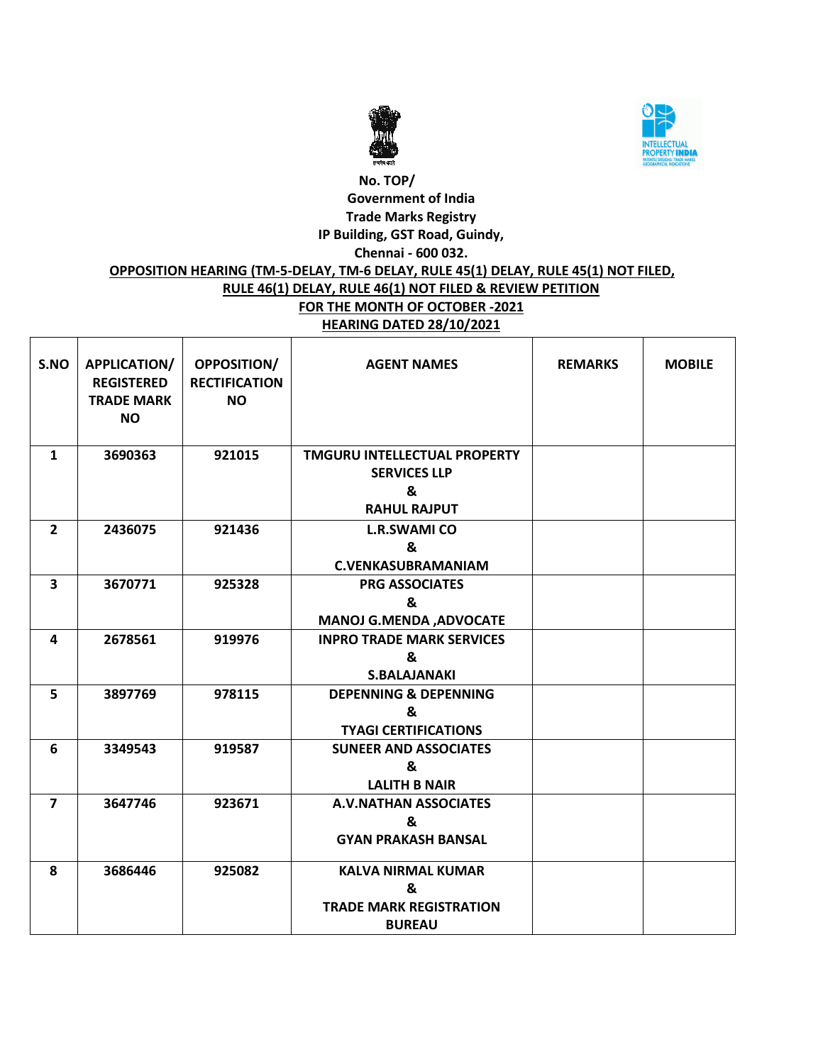



# **No. TOP/ Government of India Trade Marks Registry IP Building, GST Road, Guindy, Chennai - 600 032. OPPOSITION HEARING (TM-5-DELAY, TM-6 DELAY, RULE 45(1) DELAY, RULE 45(1) NOT FILED,**

#### **RULE 46(1) DELAY, RULE 46(1) NOT FILED & REVIEW PETITION FOR THE MONTH OF OCTOBER -2021 HEARING DATED 28/10/2021**

| S.NO                    | APPLICATION/<br><b>REGISTERED</b><br><b>TRADE MARK</b><br><b>NO</b> | <b>OPPOSITION/</b><br><b>RECTIFICATION</b><br><b>NO</b> | <b>AGENT NAMES</b>                                                                     | <b>REMARKS</b> | <b>MOBILE</b> |
|-------------------------|---------------------------------------------------------------------|---------------------------------------------------------|----------------------------------------------------------------------------------------|----------------|---------------|
| $\mathbf{1}$            | 3690363                                                             | 921015                                                  | <b>TMGURU INTELLECTUAL PROPERTY</b><br><b>SERVICES LLP</b><br>&<br><b>RAHUL RAJPUT</b> |                |               |
| $\overline{2}$          | 2436075                                                             | 921436                                                  | <b>L.R.SWAMI CO</b><br>&<br><b>C.VENKASUBRAMANIAM</b>                                  |                |               |
| 3                       | 3670771                                                             | 925328                                                  | <b>PRG ASSOCIATES</b><br>&<br><b>MANOJ G.MENDA, ADVOCATE</b>                           |                |               |
| 4                       | 2678561                                                             | 919976                                                  | <b>INPRO TRADE MARK SERVICES</b><br>&<br><b>S.BALAJANAKI</b>                           |                |               |
| 5                       | 3897769                                                             | 978115                                                  | <b>DEPENNING &amp; DEPENNING</b><br>&<br><b>TYAGI CERTIFICATIONS</b>                   |                |               |
| 6                       | 3349543                                                             | 919587                                                  | <b>SUNEER AND ASSOCIATES</b><br>&<br><b>LALITH B NAIR</b>                              |                |               |
| $\overline{\mathbf{z}}$ | 3647746                                                             | 923671                                                  | <b>A.V.NATHAN ASSOCIATES</b><br>&<br><b>GYAN PRAKASH BANSAL</b>                        |                |               |
| 8                       | 3686446                                                             | 925082                                                  | <b>KALVA NIRMAL KUMAR</b><br>&<br><b>TRADE MARK REGISTRATION</b><br><b>BUREAU</b>      |                |               |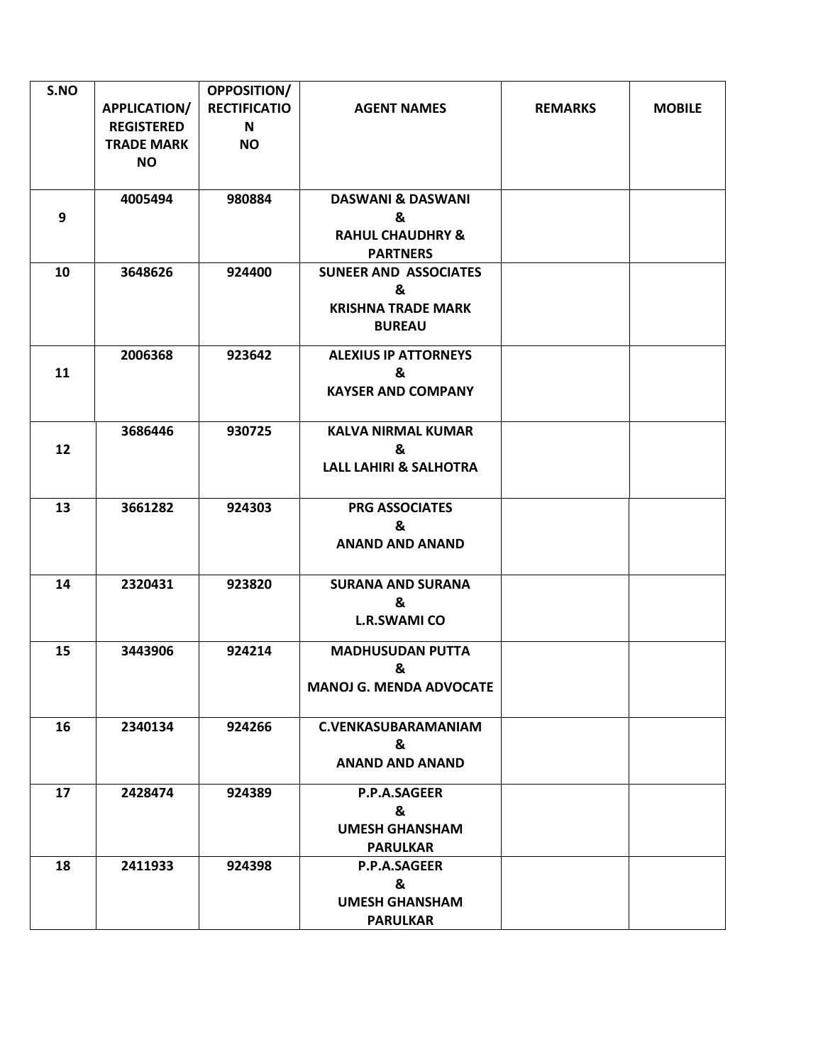| S.NO |                   | <b>OPPOSITION/</b>  |                                   |                |               |
|------|-------------------|---------------------|-----------------------------------|----------------|---------------|
|      | APPLICATION/      | <b>RECTIFICATIO</b> | <b>AGENT NAMES</b>                | <b>REMARKS</b> | <b>MOBILE</b> |
|      | <b>REGISTERED</b> | N                   |                                   |                |               |
|      | <b>TRADE MARK</b> | <b>NO</b>           |                                   |                |               |
|      | <b>NO</b>         |                     |                                   |                |               |
|      |                   |                     |                                   |                |               |
|      | 4005494           | 980884              | <b>DASWANI &amp; DASWANI</b>      |                |               |
| 9    |                   |                     | &                                 |                |               |
|      |                   |                     | <b>RAHUL CHAUDHRY &amp;</b>       |                |               |
|      |                   |                     | <b>PARTNERS</b>                   |                |               |
| 10   | 3648626           | 924400              | <b>SUNEER AND ASSOCIATES</b>      |                |               |
|      |                   |                     | &                                 |                |               |
|      |                   |                     | <b>KRISHNA TRADE MARK</b>         |                |               |
|      |                   |                     | <b>BUREAU</b>                     |                |               |
|      | 2006368           | 923642              | <b>ALEXIUS IP ATTORNEYS</b>       |                |               |
| 11   |                   |                     | &                                 |                |               |
|      |                   |                     | <b>KAYSER AND COMPANY</b>         |                |               |
|      |                   |                     |                                   |                |               |
|      | 3686446           | 930725              | <b>KALVA NIRMAL KUMAR</b>         |                |               |
| 12   |                   |                     | &                                 |                |               |
|      |                   |                     | <b>LALL LAHIRI &amp; SALHOTRA</b> |                |               |
|      |                   |                     |                                   |                |               |
| 13   | 3661282           | 924303              | <b>PRG ASSOCIATES</b>             |                |               |
|      |                   |                     | &                                 |                |               |
|      |                   |                     | <b>ANAND AND ANAND</b>            |                |               |
|      |                   |                     |                                   |                |               |
| 14   | 2320431           | 923820              | <b>SURANA AND SURANA</b>          |                |               |
|      |                   |                     | &                                 |                |               |
|      |                   |                     | <b>L.R.SWAMI CO</b>               |                |               |
|      |                   |                     |                                   |                |               |
| 15   | 3443906           | 924214              | <b>MADHUSUDAN PUTTA</b>           |                |               |
|      |                   |                     | &                                 |                |               |
|      |                   |                     | <b>MANOJ G. MENDA ADVOCATE</b>    |                |               |
|      |                   |                     |                                   |                |               |
| 16   | 2340134           | 924266              | <b>C.VENKASUBARAMANIAM</b>        |                |               |
|      |                   |                     | &                                 |                |               |
|      |                   |                     | <b>ANAND AND ANAND</b>            |                |               |
| 17   | 2428474           | 924389              | P.P.A.SAGEER                      |                |               |
|      |                   |                     | &                                 |                |               |
|      |                   |                     | <b>UMESH GHANSHAM</b>             |                |               |
|      |                   |                     | <b>PARULKAR</b>                   |                |               |
| 18   | 2411933           | 924398              | P.P.A.SAGEER                      |                |               |
|      |                   |                     | &                                 |                |               |
|      |                   |                     | <b>UMESH GHANSHAM</b>             |                |               |
|      |                   |                     | <b>PARULKAR</b>                   |                |               |